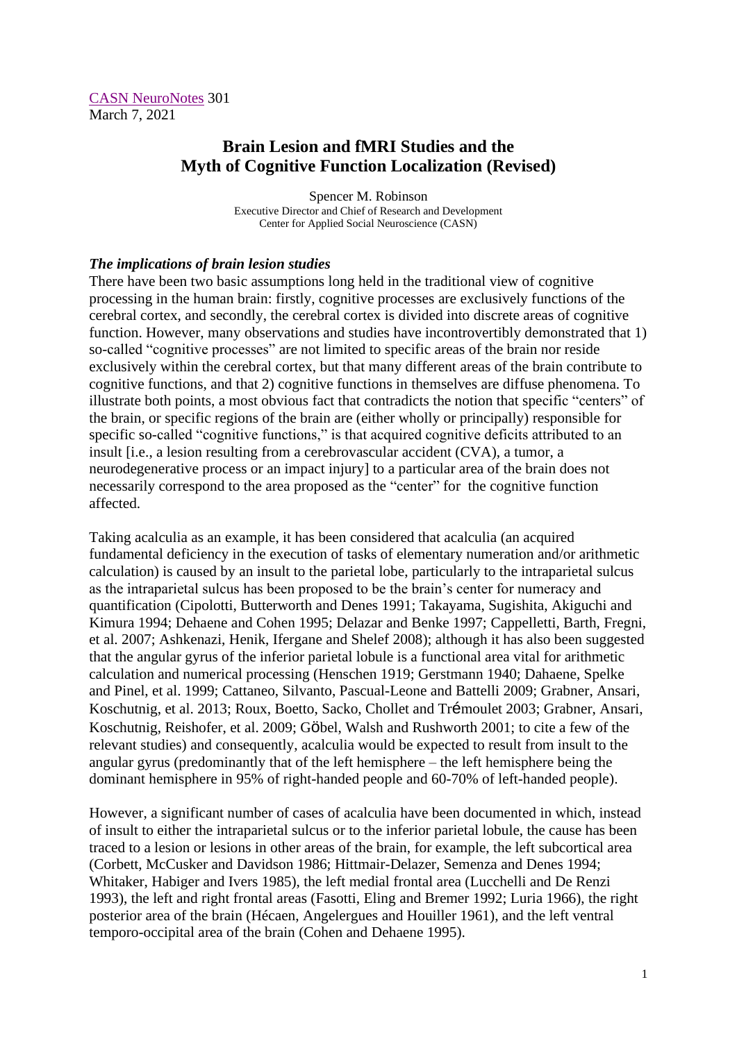[CASN NeuroNotes](https://www.brain-mind-behavior.org/casn-neuronotes) 301 March 7, 2021

## **Brain Lesion and fMRI Studies and the Myth of Cognitive Function Localization (Revised)**

Spencer M. Robinson Executive Director and Chief of Research and Development Center for Applied Social Neuroscience (CASN)

## *The implications of brain lesion studies*

There have been two basic assumptions long held in the traditional view of cognitive processing in the human brain: firstly, cognitive processes are exclusively functions of the cerebral cortex, and secondly, the cerebral cortex is divided into discrete areas of cognitive function. However, many observations and studies have incontrovertibly demonstrated that 1) so-called "cognitive processes" are not limited to specific areas of the brain nor reside exclusively within the cerebral cortex, but that many different areas of the brain contribute to cognitive functions, and that 2) cognitive functions in themselves are diffuse phenomena. To illustrate both points, a most obvious fact that contradicts the notion that specific "centers" of the brain, or specific regions of the brain are (either wholly or principally) responsible for specific so-called "cognitive functions," is that acquired cognitive deficits attributed to an insult [i.e., a lesion resulting from a cerebrovascular accident (CVA), a tumor, a neurodegenerative process or an impact injury] to a particular area of the brain does not necessarily correspond to the area proposed as the "center" for the cognitive function affected.

Taking acalculia as an example, it has been considered that acalculia (an acquired fundamental deficiency in the execution of tasks of elementary numeration and/or arithmetic calculation) is caused by an insult to the parietal lobe, particularly to the intraparietal sulcus as the intraparietal sulcus has been proposed to be the brain's center for numeracy and quantification (Cipolotti, Butterworth and Denes 1991; Takayama, Sugishita, Akiguchi and Kimura 1994; Dehaene and Cohen 1995; Delazar and Benke 1997; Cappelletti, Barth, Fregni, et al. 2007; Ashkenazi, Henik, Ifergane and Shelef 2008); although it has also been suggested that the angular gyrus of the inferior parietal lobule is a functional area vital for arithmetic calculation and numerical processing (Henschen 1919; Gerstmann 1940; Dahaene, Spelke and Pinel, et al. 1999; Cattaneo, Silvanto, Pascual-Leone and Battelli 2009; Grabner, Ansari, Koschutnig, et al. 2013; Roux, Boetto, Sacko, Chollet and Trémoulet 2003; Grabner, Ansari, Koschutnig, Reishofer, et al. 2009; Göbel, Walsh and Rushworth 2001; to cite a few of the relevant studies) and consequently, acalculia would be expected to result from insult to the angular gyrus (predominantly that of the left hemisphere – the left hemisphere being the dominant hemisphere in 95% of right-handed people and 60-70% of left-handed people).

However, a significant number of cases of acalculia have been documented in which, instead of insult to either the intraparietal sulcus or to the inferior parietal lobule, the cause has been traced to a lesion or lesions in other areas of the brain, for example, the left subcortical area (Corbett, McCusker and Davidson 1986; Hittmair-Delazer, Semenza and Denes 1994; Whitaker, Habiger and Ivers 1985), the left medial frontal area (Lucchelli and De Renzi 1993), the left and right frontal areas (Fasotti, Eling and Bremer 1992; Luria 1966), the right posterior area of the brain (Hécaen, Angelergues and Houiller 1961), and the left ventral temporo-occipital area of the brain (Cohen and Dehaene 1995).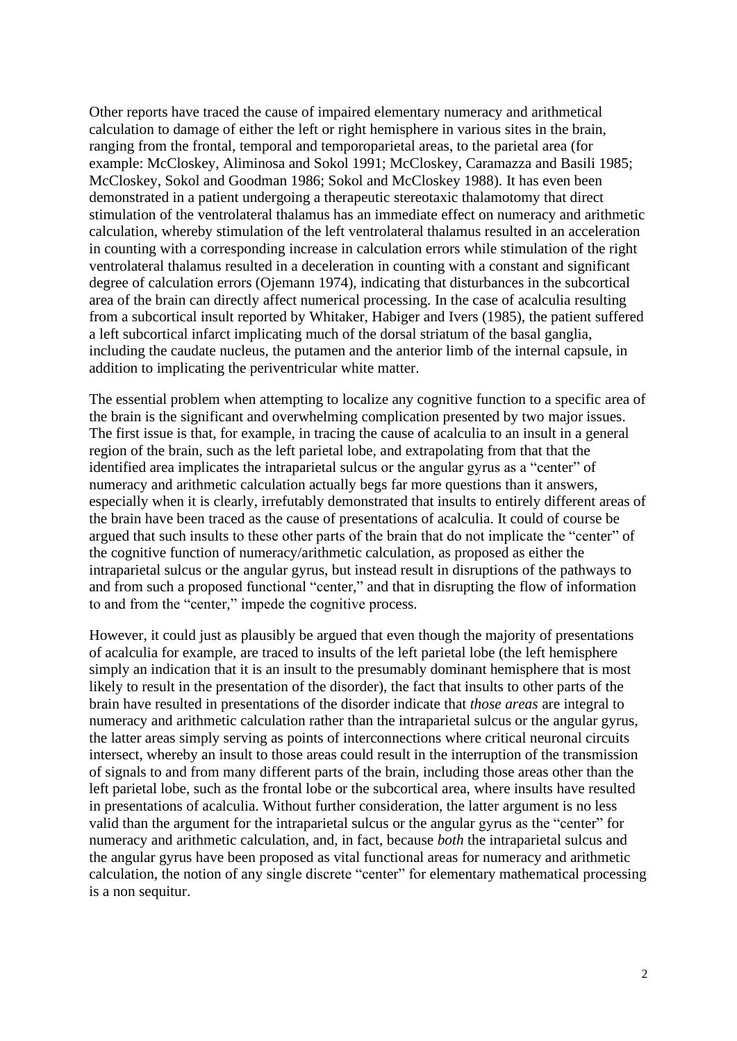Other reports have traced the cause of impaired elementary numeracy and arithmetical calculation to damage of either the left or right hemisphere in various sites in the brain, ranging from the frontal, temporal and temporoparietal areas, to the parietal area (for example: McCloskey, Aliminosa and Sokol 1991; McCloskey, Caramazza and Basili 1985; McCloskey, Sokol and Goodman 1986; Sokol and McCloskey 1988). It has even been demonstrated in a patient undergoing a therapeutic stereotaxic thalamotomy that direct stimulation of the ventrolateral thalamus has an immediate effect on numeracy and arithmetic calculation, whereby stimulation of the left ventrolateral thalamus resulted in an acceleration in counting with a corresponding increase in calculation errors while stimulation of the right ventrolateral thalamus resulted in a deceleration in counting with a constant and significant degree of calculation errors (Ojemann 1974), indicating that disturbances in the subcortical area of the brain can directly affect numerical processing. In the case of acalculia resulting from a subcortical insult reported by Whitaker, Habiger and Ivers (1985), the patient suffered a left subcortical infarct implicating much of the dorsal striatum of the basal ganglia, including the caudate nucleus, the putamen and the anterior limb of the internal capsule, in addition to implicating the periventricular white matter.

The essential problem when attempting to localize any cognitive function to a specific area of the brain is the significant and overwhelming complication presented by two major issues. The first issue is that, for example, in tracing the cause of acalculia to an insult in a general region of the brain, such as the left parietal lobe, and extrapolating from that that the identified area implicates the intraparietal sulcus or the angular gyrus as a "center" of numeracy and arithmetic calculation actually begs far more questions than it answers, especially when it is clearly, irrefutably demonstrated that insults to entirely different areas of the brain have been traced as the cause of presentations of acalculia. It could of course be argued that such insults to these other parts of the brain that do not implicate the "center" of the cognitive function of numeracy/arithmetic calculation, as proposed as either the intraparietal sulcus or the angular gyrus, but instead result in disruptions of the pathways to and from such a proposed functional "center," and that in disrupting the flow of information to and from the "center," impede the cognitive process.

However, it could just as plausibly be argued that even though the majority of presentations of acalculia for example, are traced to insults of the left parietal lobe (the left hemisphere simply an indication that it is an insult to the presumably dominant hemisphere that is most likely to result in the presentation of the disorder), the fact that insults to other parts of the brain have resulted in presentations of the disorder indicate that *those areas* are integral to numeracy and arithmetic calculation rather than the intraparietal sulcus or the angular gyrus, the latter areas simply serving as points of interconnections where critical neuronal circuits intersect, whereby an insult to those areas could result in the interruption of the transmission of signals to and from many different parts of the brain, including those areas other than the left parietal lobe, such as the frontal lobe or the subcortical area, where insults have resulted in presentations of acalculia. Without further consideration, the latter argument is no less valid than the argument for the intraparietal sulcus or the angular gyrus as the "center" for numeracy and arithmetic calculation, and, in fact, because *both* the intraparietal sulcus and the angular gyrus have been proposed as vital functional areas for numeracy and arithmetic calculation, the notion of any single discrete "center" for elementary mathematical processing is a non sequitur.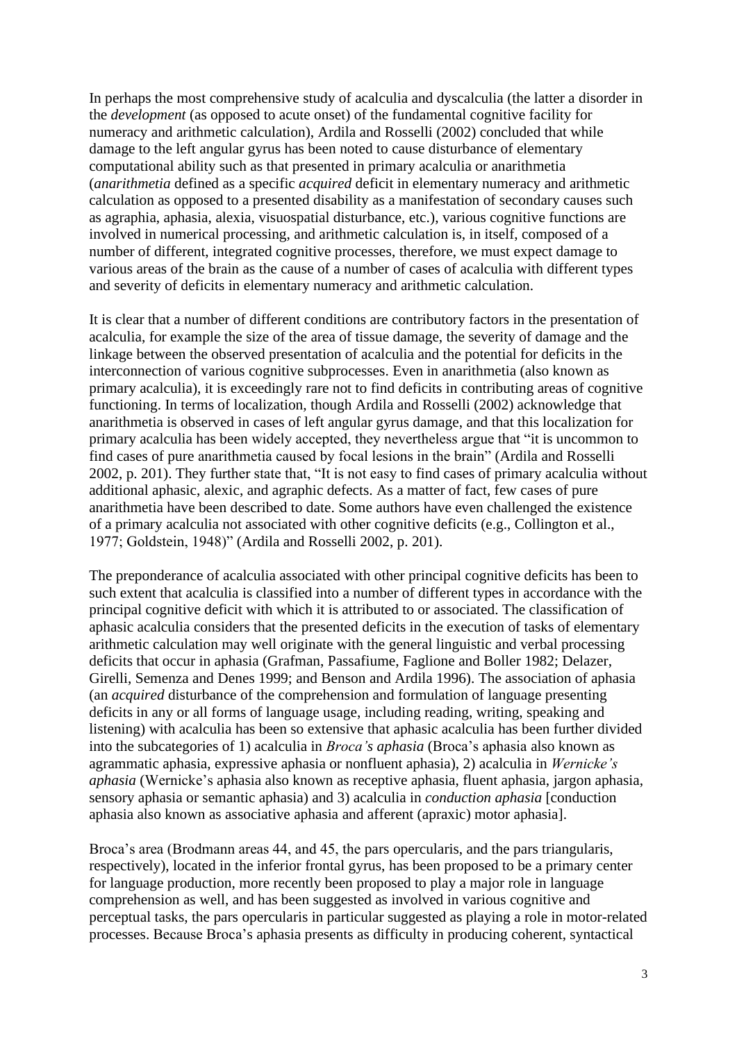In perhaps the most comprehensive study of acalculia and dyscalculia (the latter a disorder in the *development* (as opposed to acute onset) of the fundamental cognitive facility for numeracy and arithmetic calculation), Ardila and Rosselli (2002) concluded that while damage to the left angular gyrus has been noted to cause disturbance of elementary computational ability such as that presented in primary acalculia or anarithmetia (*anarithmetia* defined as a specific *acquired* deficit in elementary numeracy and arithmetic calculation as opposed to a presented disability as a manifestation of secondary causes such as agraphia, aphasia, alexia, visuospatial disturbance, etc.), various cognitive functions are involved in numerical processing, and arithmetic calculation is, in itself, composed of a number of different, integrated cognitive processes, therefore, we must expect damage to various areas of the brain as the cause of a number of cases of acalculia with different types and severity of deficits in elementary numeracy and arithmetic calculation.

It is clear that a number of different conditions are contributory factors in the presentation of acalculia, for example the size of the area of tissue damage, the severity of damage and the linkage between the observed presentation of acalculia and the potential for deficits in the interconnection of various cognitive subprocesses. Even in anarithmetia (also known as primary acalculia), it is exceedingly rare not to find deficits in contributing areas of cognitive functioning. In terms of localization, though Ardila and Rosselli (2002) acknowledge that anarithmetia is observed in cases of left angular gyrus damage, and that this localization for primary acalculia has been widely accepted, they nevertheless argue that "it is uncommon to find cases of pure anarithmetia caused by focal lesions in the brain" (Ardila and Rosselli 2002, p. 201). They further state that, "It is not easy to find cases of primary acalculia without additional aphasic, alexic, and agraphic defects. As a matter of fact, few cases of pure anarithmetia have been described to date. Some authors have even challenged the existence of a primary acalculia not associated with other cognitive deficits (e.g., Collington et al., 1977; Goldstein, 1948)" (Ardila and Rosselli 2002, p. 201).

The preponderance of acalculia associated with other principal cognitive deficits has been to such extent that acalculia is classified into a number of different types in accordance with the principal cognitive deficit with which it is attributed to or associated. The classification of aphasic acalculia considers that the presented deficits in the execution of tasks of elementary arithmetic calculation may well originate with the general linguistic and verbal processing deficits that occur in aphasia (Grafman, Passafiume, Faglione and Boller 1982; Delazer, Girelli, Semenza and Denes 1999; and Benson and Ardila 1996). The association of aphasia (an *acquired* disturbance of the comprehension and formulation of language presenting deficits in any or all forms of language usage, including reading, writing, speaking and listening) with acalculia has been so extensive that aphasic acalculia has been further divided into the subcategories of 1) acalculia in *Broca's aphasia* (Broca's aphasia also known as agrammatic aphasia, expressive aphasia or nonfluent aphasia), 2) acalculia in *Wernicke's aphasia* (Wernicke's aphasia also known as receptive aphasia, fluent aphasia, jargon aphasia, sensory aphasia or semantic aphasia) and 3) acalculia in *conduction aphasia* [conduction aphasia also known as associative aphasia and afferent (apraxic) motor aphasia].

Broca's area (Brodmann areas 44, and 45, the pars opercularis, and the pars triangularis, respectively), located in the inferior frontal gyrus, has been proposed to be a primary center for language production, more recently been proposed to play a major role in language comprehension as well, and has been suggested as involved in various cognitive and perceptual tasks, the pars opercularis in particular suggested as playing a role in motor-related processes. Because Broca's aphasia presents as difficulty in producing coherent, syntactical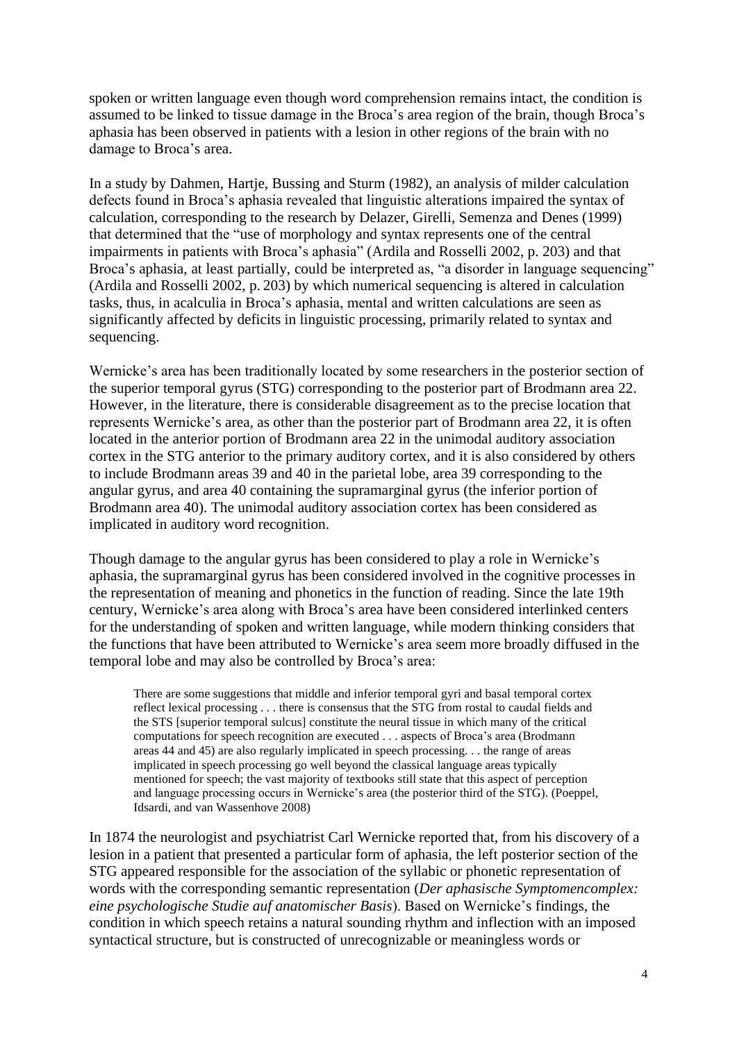spoken or written language even though word comprehension remains intact, the condition is assumed to be linked to tissue damage in the Broca's area region of the brain, though Broca's aphasia has been observed in patients with a lesion in other regions of the brain with no damage to Broca's area.

In a study by Dahmen, Hartje, Bussing and Sturm (1982), an analysis of milder calculation defects found in Broca's aphasia revealed that linguistic alterations impaired the syntax of calculation, corresponding to the research by Delazer, Girelli, Semenza and Denes (1999) that determined that the "use of morphology and syntax represents one of the central impairments in patients with Broca's aphasia" (Ardila and Rosselli 2002, p. 203) and that Broca's aphasia, at least partially, could be interpreted as, "a disorder in language sequencing" (Ardila and Rosselli 2002, p. 203) by which numerical sequencing is altered in calculation tasks, thus, in acalculia in Broca's aphasia, mental and written calculations are seen as significantly affected by deficits in linguistic processing, primarily related to syntax and sequencing.

Wernicke's area has been traditionally located by some researchers in the posterior section of the superior temporal gyrus (STG) corresponding to the posterior part of Brodmann area 22. However, in the literature, there is considerable disagreement as to the precise location that represents Wernicke's area, as other than the posterior part of Brodmann area 22, it is often located in the anterior portion of Brodmann area 22 in the unimodal auditory association cortex in the STG anterior to the primary auditory cortex, and it is also considered by others to include Brodmann areas 39 and 40 in the parietal lobe, area 39 corresponding to the angular gyrus, and area 40 containing the supramarginal gyrus (the inferior portion of Brodmann area 40). The unimodal auditory association cortex has been considered as implicated in auditory word recognition.

Though damage to the angular gyrus has been considered to play a role in Wernicke's aphasia, the supramarginal gyrus has been considered involved in the cognitive processes in the representation of meaning and phonetics in the function of reading. Since the late 19th century, Wernicke's area along with Broca's area have been considered interlinked centers for the understanding of spoken and written language, while modern thinking considers that the functions that have been attributed to Wernicke's area seem more broadly diffused in the temporal lobe and may also be controlled by Broca's area:

There are some suggestions that middle and inferior temporal gyri and basal temporal cortex reflect lexical processing . . . there is consensus that the STG from rostal to caudal fields and the STS [superior temporal sulcus] constitute the neural tissue in which many of the critical computations for speech recognition are executed . . . aspects of Broca's area (Brodmann areas 44 and 45) are also regularly implicated in speech processing. . . the range of areas implicated in speech processing go well beyond the classical language areas typically mentioned for speech; the vast majority of textbooks still state that this aspect of perception and language processing occurs in Wernicke's area (the posterior third of the STG). (Poeppel, Idsardi, and van Wassenhove 2008)

In 1874 the neurologist and psychiatrist Carl Wernicke reported that, from his discovery of a lesion in a patient that presented a particular form of aphasia, the left posterior section of the STG appeared responsible for the association of the syllabic or phonetic representation of words with the corresponding semantic representation (*Der aphasische Symptomencomplex: eine psychologische Studie auf anatomischer Basis*). Based on Wernicke's findings, the condition in which speech retains a natural sounding rhythm and inflection with an imposed syntactical structure, but is constructed of unrecognizable or meaningless words or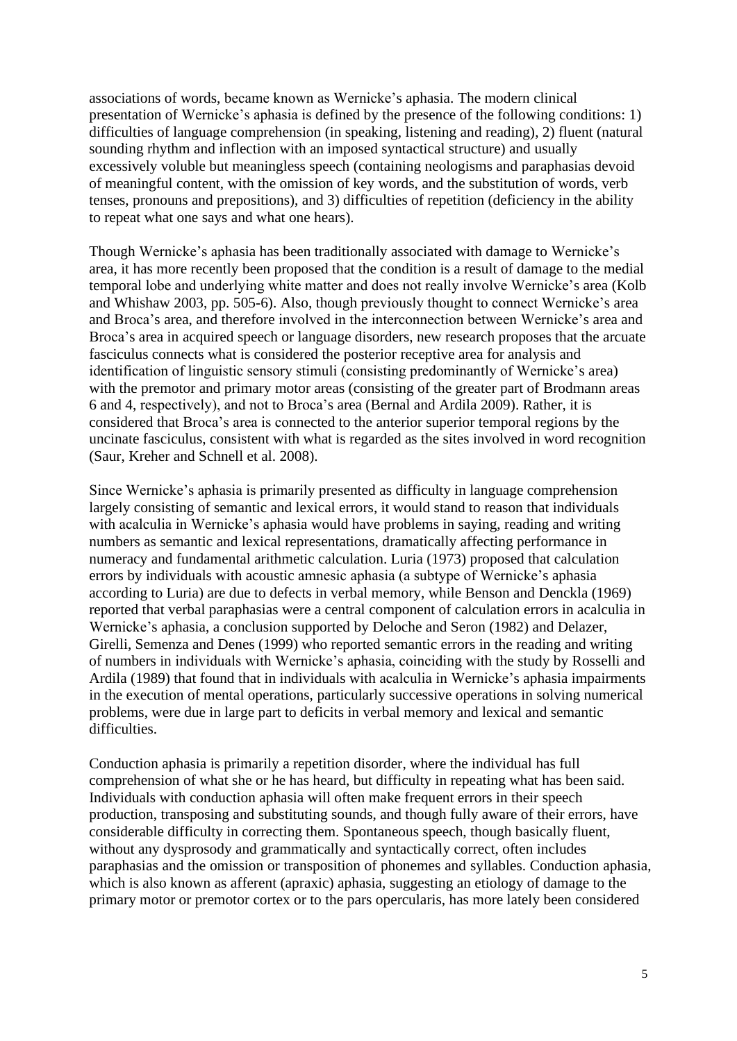associations of words, became known as Wernicke's aphasia. The modern clinical presentation of Wernicke's aphasia is defined by the presence of the following conditions: 1) difficulties of language comprehension (in speaking, listening and reading), 2) fluent (natural sounding rhythm and inflection with an imposed syntactical structure) and usually excessively voluble but meaningless speech (containing neologisms and paraphasias devoid of meaningful content, with the omission of key words, and the substitution of words, verb tenses, pronouns and prepositions), and 3) difficulties of repetition (deficiency in the ability to repeat what one says and what one hears).

Though Wernicke's aphasia has been traditionally associated with damage to Wernicke's area, it has more recently been proposed that the condition is a result of damage to the medial temporal lobe and underlying white matter and does not really involve Wernicke's area (Kolb and Whishaw 2003, pp. 505-6). Also, though previously thought to connect Wernicke's area and Broca's area, and therefore involved in the interconnection between Wernicke's area and Broca's area in acquired speech or language disorders, new research proposes that the arcuate fasciculus connects what is considered the posterior receptive area for analysis and identification of linguistic sensory stimuli (consisting predominantly of Wernicke's area) with the premotor and primary motor areas (consisting of the greater part of Brodmann areas 6 and 4, respectively), and not to Broca's area (Bernal and Ardila 2009). Rather, it is considered that Broca's area is connected to the anterior superior temporal regions by the uncinate fasciculus, consistent with what is regarded as the sites involved in word recognition (Saur, Kreher and Schnell et al. 2008).

Since Wernicke's aphasia is primarily presented as difficulty in language comprehension largely consisting of semantic and lexical errors, it would stand to reason that individuals with acalculia in Wernicke's aphasia would have problems in saying, reading and writing numbers as semantic and lexical representations, dramatically affecting performance in numeracy and fundamental arithmetic calculation. Luria (1973) proposed that calculation errors by individuals with acoustic amnesic aphasia (a subtype of Wernicke's aphasia according to Luria) are due to defects in verbal memory, while Benson and Denckla (1969) reported that verbal paraphasias were a central component of calculation errors in acalculia in Wernicke's aphasia, a conclusion supported by Deloche and Seron (1982) and Delazer, Girelli, Semenza and Denes (1999) who reported semantic errors in the reading and writing of numbers in individuals with Wernicke's aphasia, coinciding with the study by Rosselli and Ardila (1989) that found that in individuals with acalculia in Wernicke's aphasia impairments in the execution of mental operations, particularly successive operations in solving numerical problems, were due in large part to deficits in verbal memory and lexical and semantic difficulties.

Conduction aphasia is primarily a repetition disorder, where the individual has full comprehension of what she or he has heard, but difficulty in repeating what has been said. Individuals with conduction aphasia will often make frequent errors in their speech production, transposing and substituting sounds, and though fully aware of their errors, have considerable difficulty in correcting them. Spontaneous speech, though basically fluent, without any dysprosody and grammatically and syntactically correct, often includes paraphasias and the omission or transposition of phonemes and syllables. Conduction aphasia, which is also known as afferent (apraxic) aphasia, suggesting an etiology of damage to the primary motor or premotor cortex or to the pars opercularis, has more lately been considered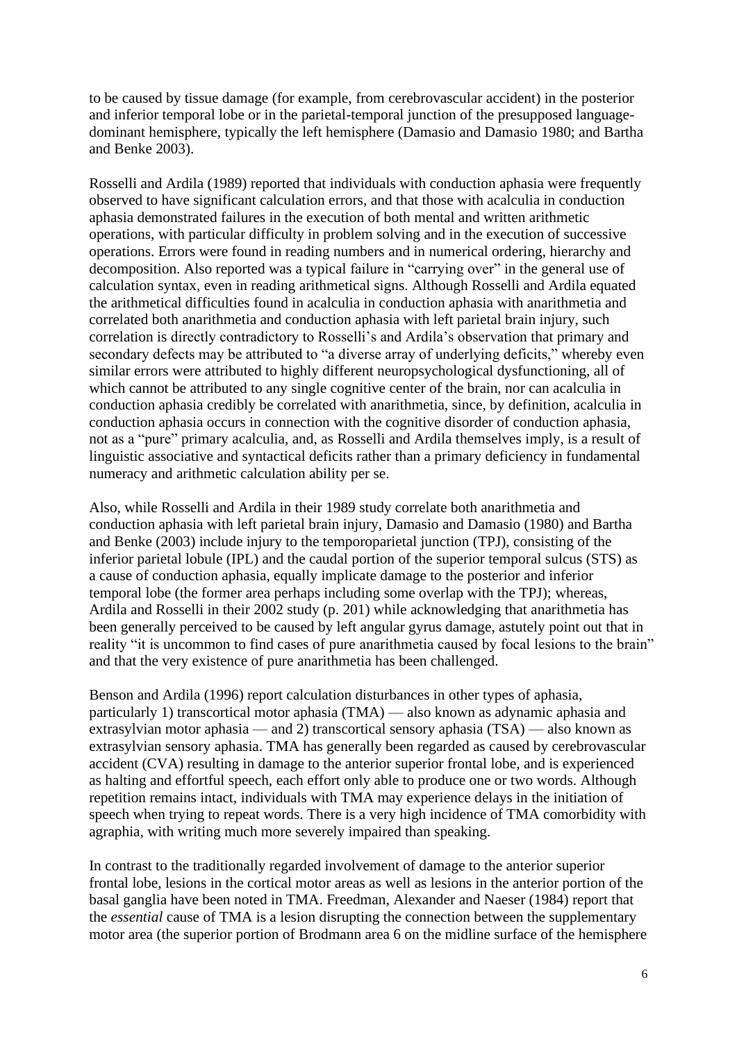to be caused by tissue damage (for example, from cerebrovascular accident) in the posterior and inferior temporal lobe or in the parietal-temporal junction of the presupposed languagedominant hemisphere, typically the left hemisphere (Damasio and Damasio 1980; and Bartha and Benke 2003).

Rosselli and Ardila (1989) reported that individuals with conduction aphasia were frequently observed to have significant calculation errors, and that those with acalculia in conduction aphasia demonstrated failures in the execution of both mental and written arithmetic operations, with particular difficulty in problem solving and in the execution of successive operations. Errors were found in reading numbers and in numerical ordering, hierarchy and decomposition. Also reported was a typical failure in "carrying over" in the general use of calculation syntax, even in reading arithmetical signs. Although Rosselli and Ardila equated the arithmetical difficulties found in acalculia in conduction aphasia with anarithmetia and correlated both anarithmetia and conduction aphasia with left parietal brain injury, such correlation is directly contradictory to Rosselli's and Ardila's observation that primary and secondary defects may be attributed to "a diverse array of underlying deficits," whereby even similar errors were attributed to highly different neuropsychological dysfunctioning, all of which cannot be attributed to any single cognitive center of the brain, nor can acalculia in conduction aphasia credibly be correlated with anarithmetia, since, by definition, acalculia in conduction aphasia occurs in connection with the cognitive disorder of conduction aphasia, not as a "pure" primary acalculia, and, as Rosselli and Ardila themselves imply, is a result of linguistic associative and syntactical deficits rather than a primary deficiency in fundamental numeracy and arithmetic calculation ability per se.

Also, while Rosselli and Ardila in their 1989 study correlate both anarithmetia and conduction aphasia with left parietal brain injury, Damasio and Damasio (1980) and Bartha and Benke (2003) include injury to the temporoparietal junction (TPJ), consisting of the inferior parietal lobule (IPL) and the caudal portion of the superior temporal sulcus (STS) as a cause of conduction aphasia, equally implicate damage to the posterior and inferior temporal lobe (the former area perhaps including some overlap with the TPJ); whereas, Ardila and Rosselli in their 2002 study (p. 201) while acknowledging that anarithmetia has been generally perceived to be caused by left angular gyrus damage, astutely point out that in reality "it is uncommon to find cases of pure anarithmetia caused by focal lesions to the brain" and that the very existence of pure anarithmetia has been challenged.

Benson and Ardila (1996) report calculation disturbances in other types of aphasia, particularly 1) transcortical motor aphasia (TMA) –– also known as adynamic aphasia and extrasylvian motor aphasia — and 2) transcortical sensory aphasia  $(TSA)$  — also known as extrasylvian sensory aphasia. TMA has generally been regarded as caused by cerebrovascular accident (CVA) resulting in damage to the anterior superior frontal lobe, and is experienced as halting and effortful speech, each effort only able to produce one or two words. Although repetition remains intact, individuals with TMA may experience delays in the initiation of speech when trying to repeat words. There is a very high incidence of TMA comorbidity with agraphia, with writing much more severely impaired than speaking.

In contrast to the traditionally regarded involvement of damage to the anterior superior frontal lobe, lesions in the cortical motor areas as well as lesions in the anterior portion of the basal ganglia have been noted in TMA. Freedman, Alexander and Naeser (1984) report that the *essential* cause of TMA is a lesion disrupting the connection between the supplementary motor area (the superior portion of Brodmann area 6 on the midline surface of the hemisphere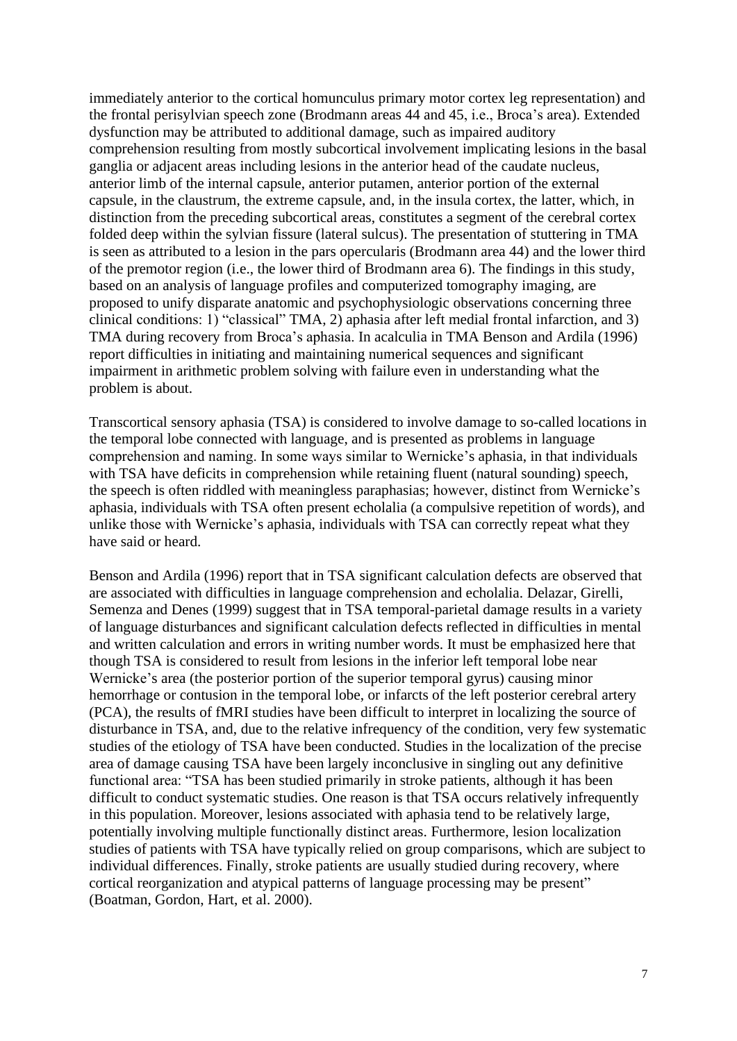immediately anterior to the cortical homunculus primary motor cortex leg representation) and the frontal perisylvian speech zone (Brodmann areas 44 and 45, i.e., Broca's area). Extended dysfunction may be attributed to additional damage, such as impaired auditory comprehension resulting from mostly subcortical involvement implicating lesions in the basal ganglia or adjacent areas including lesions in the anterior head of the caudate nucleus, anterior limb of the internal capsule, anterior putamen, anterior portion of the external capsule, in the claustrum, the extreme capsule, and, in the insula cortex, the latter, which, in distinction from the preceding subcortical areas, constitutes a segment of the cerebral cortex folded deep within the sylvian fissure (lateral sulcus). The presentation of stuttering in TMA is seen as attributed to a lesion in the pars opercularis (Brodmann area 44) and the lower third of the premotor region (i.e., the lower third of Brodmann area 6). The findings in this study, based on an analysis of language profiles and computerized tomography imaging, are proposed to unify disparate anatomic and psychophysiologic observations concerning three clinical conditions: 1) "classical" TMA, 2) aphasia after left medial frontal infarction, and 3) TMA during recovery from Broca's aphasia. In acalculia in TMA Benson and Ardila (1996) report difficulties in initiating and maintaining numerical sequences and significant impairment in arithmetic problem solving with failure even in understanding what the problem is about.

Transcortical sensory aphasia (TSA) is considered to involve damage to so-called locations in the temporal lobe connected with language, and is presented as problems in language comprehension and naming. In some ways similar to Wernicke's aphasia, in that individuals with TSA have deficits in comprehension while retaining fluent (natural sounding) speech, the speech is often riddled with meaningless paraphasias; however, distinct from Wernicke's aphasia, individuals with TSA often present echolalia (a compulsive repetition of words), and unlike those with Wernicke's aphasia, individuals with TSA can correctly repeat what they have said or heard.

Benson and Ardila (1996) report that in TSA significant calculation defects are observed that are associated with difficulties in language comprehension and echolalia. Delazar, Girelli, Semenza and Denes (1999) suggest that in TSA temporal-parietal damage results in a variety of language disturbances and significant calculation defects reflected in difficulties in mental and written calculation and errors in writing number words. It must be emphasized here that though TSA is considered to result from lesions in the inferior left temporal lobe near Wernicke's area (the posterior portion of the superior temporal gyrus) causing minor hemorrhage or contusion in the temporal lobe, or infarcts of the left posterior cerebral artery (PCA), the results of fMRI studies have been difficult to interpret in localizing the source of disturbance in TSA, and, due to the relative infrequency of the condition, very few systematic studies of the etiology of TSA have been conducted. Studies in the localization of the precise area of damage causing TSA have been largely inconclusive in singling out any definitive functional area: "TSA has been studied primarily in stroke patients, although it has been difficult to conduct systematic studies. One reason is that TSA occurs relatively infrequently in this population. Moreover, lesions associated with aphasia tend to be relatively large, potentially involving multiple functionally distinct areas. Furthermore, lesion localization studies of patients with TSA have typically relied on group comparisons, which are subject to individual differences. Finally, stroke patients are usually studied during recovery, where cortical reorganization and atypical patterns of language processing may be present" (Boatman, Gordon, Hart, et al. 2000).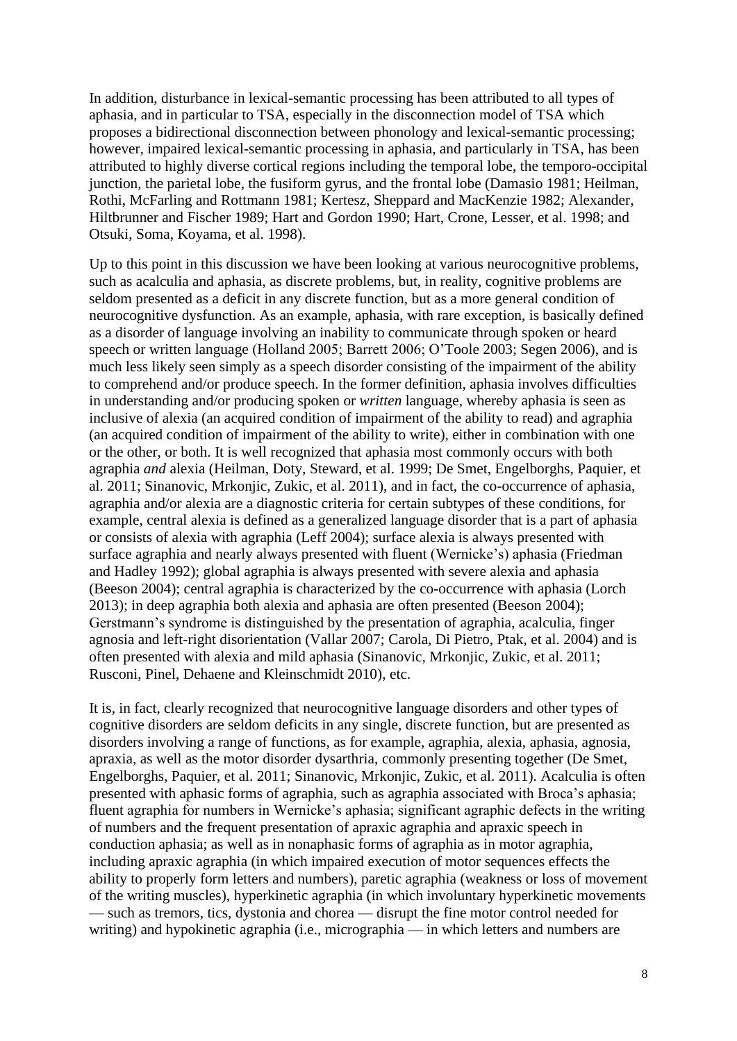In addition, disturbance in lexical-semantic processing has been attributed to all types of aphasia, and in particular to TSA, especially in the disconnection model of TSA which proposes a bidirectional disconnection between phonology and lexical-semantic processing; however, impaired lexical-semantic processing in aphasia, and particularly in TSA, has been attributed to highly diverse cortical regions including the temporal lobe, the temporo-occipital junction, the parietal lobe, the fusiform gyrus, and the frontal lobe (Damasio 1981; Heilman, Rothi, McFarling and Rottmann 1981; Kertesz, Sheppard and MacKenzie 1982; Alexander, Hiltbrunner and Fischer 1989; Hart and Gordon 1990; Hart, Crone, Lesser, et al. 1998; and Otsuki, Soma, Koyama, et al. 1998).

Up to this point in this discussion we have been looking at various neurocognitive problems, such as acalculia and aphasia, as discrete problems, but, in reality, cognitive problems are seldom presented as a deficit in any discrete function, but as a more general condition of neurocognitive dysfunction. As an example, aphasia, with rare exception, is basically defined as a disorder of language involving an inability to communicate through spoken or heard speech or written language (Holland 2005; Barrett 2006; O'Toole 2003; Segen 2006), and is much less likely seen simply as a speech disorder consisting of the impairment of the ability to comprehend and/or produce speech. In the former definition, aphasia involves difficulties in understanding and/or producing spoken or *written* language, whereby aphasia is seen as inclusive of alexia (an acquired condition of impairment of the ability to read) and agraphia (an acquired condition of impairment of the ability to write), either in combination with one or the other, or both. It is well recognized that aphasia most commonly occurs with both agraphia *and* alexia (Heilman, Doty, Steward, et al. 1999; De Smet, Engelborghs, Paquier, et al. 2011; Sinanovic, Mrkonjic, Zukic, et al. 2011), and in fact, the co-occurrence of aphasia, agraphia and/or alexia are a diagnostic criteria for certain subtypes of these conditions, for example, central alexia is defined as a generalized language disorder that is a part of aphasia or consists of alexia with agraphia (Leff 2004); surface alexia is always presented with surface agraphia and nearly always presented with fluent (Wernicke's) aphasia (Friedman and Hadley 1992); global agraphia is always presented with severe alexia and aphasia (Beeson 2004); central agraphia is characterized by the co-occurrence with aphasia (Lorch 2013); in deep agraphia both alexia and aphasia are often presented (Beeson 2004); Gerstmann's syndrome is distinguished by the presentation of agraphia, acalculia, finger agnosia and left-right disorientation (Vallar 2007; Carola, Di Pietro, Ptak, et al. 2004) and is often presented with alexia and mild aphasia (Sinanovic, Mrkonjic, Zukic, et al. 2011; Rusconi, Pinel, Dehaene and Kleinschmidt 2010), etc.

It is, in fact, clearly recognized that neurocognitive language disorders and other types of cognitive disorders are seldom deficits in any single, discrete function, but are presented as disorders involving a range of functions, as for example, agraphia, alexia, aphasia, agnosia, apraxia, as well as the motor disorder dysarthria, commonly presenting together (De Smet, Engelborghs, Paquier, et al. 2011; Sinanovic, Mrkonjic, Zukic, et al. 2011). Acalculia is often presented with aphasic forms of agraphia, such as agraphia associated with Broca's aphasia; fluent agraphia for numbers in Wernicke's aphasia; significant agraphic defects in the writing of numbers and the frequent presentation of apraxic agraphia and apraxic speech in conduction aphasia; as well as in nonaphasic forms of agraphia as in motor agraphia, including apraxic agraphia (in which impaired execution of motor sequences effects the ability to properly form letters and numbers), paretic agraphia (weakness or loss of movement of the writing muscles), hyperkinetic agraphia (in which involuntary hyperkinetic movements –– such as tremors, tics, dystonia and chorea –– disrupt the fine motor control needed for writing) and hypokinetic agraphia (i.e., micrographia — in which letters and numbers are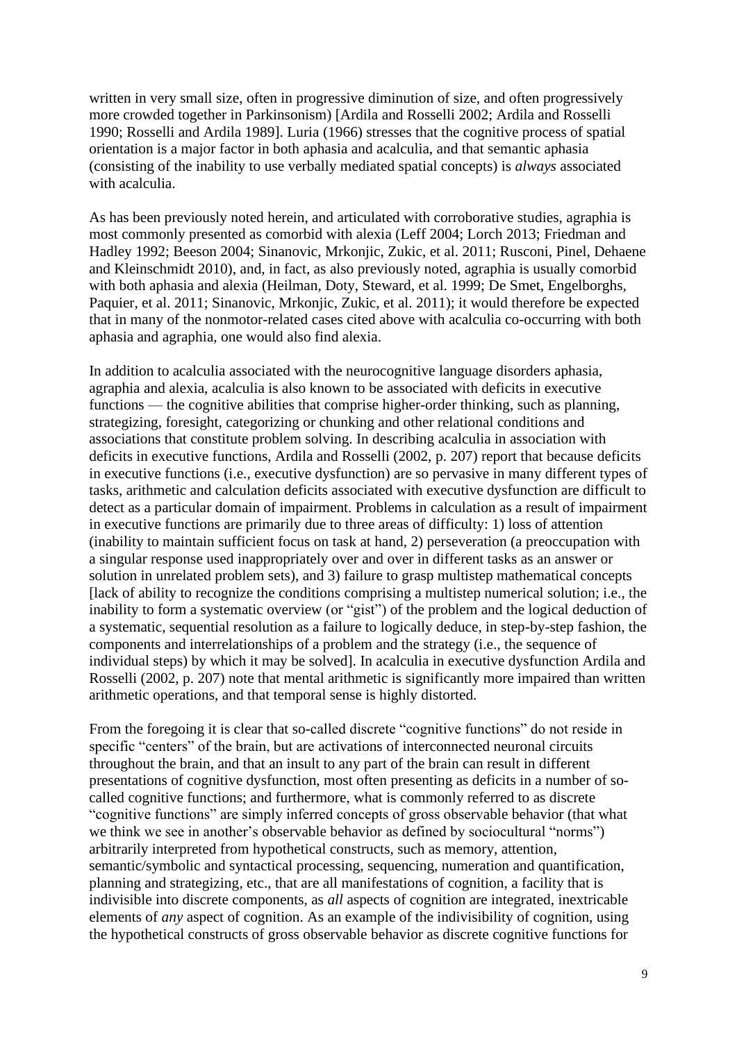written in very small size, often in progressive diminution of size, and often progressively more crowded together in Parkinsonism) [Ardila and Rosselli 2002; Ardila and Rosselli 1990; Rosselli and Ardila 1989]. Luria (1966) stresses that the cognitive process of spatial orientation is a major factor in both aphasia and acalculia, and that semantic aphasia (consisting of the inability to use verbally mediated spatial concepts) is *always* associated with acalculia.

As has been previously noted herein, and articulated with corroborative studies, agraphia is most commonly presented as comorbid with alexia (Leff 2004; Lorch 2013; Friedman and Hadley 1992; Beeson 2004; Sinanovic, Mrkonjic, Zukic, et al. 2011; Rusconi, Pinel, Dehaene and Kleinschmidt 2010), and, in fact, as also previously noted, agraphia is usually comorbid with both aphasia and alexia (Heilman, Doty, Steward, et al. 1999; De Smet, Engelborghs, Paquier, et al. 2011; Sinanovic, Mrkonjic, Zukic, et al. 2011); it would therefore be expected that in many of the nonmotor-related cases cited above with acalculia co-occurring with both aphasia and agraphia, one would also find alexia.

In addition to acalculia associated with the neurocognitive language disorders aphasia, agraphia and alexia, acalculia is also known to be associated with deficits in executive functions — the cognitive abilities that comprise higher-order thinking, such as planning, strategizing, foresight, categorizing or chunking and other relational conditions and associations that constitute problem solving. In describing acalculia in association with deficits in executive functions, Ardila and Rosselli (2002, p. 207) report that because deficits in executive functions (i.e., executive dysfunction) are so pervasive in many different types of tasks, arithmetic and calculation deficits associated with executive dysfunction are difficult to detect as a particular domain of impairment. Problems in calculation as a result of impairment in executive functions are primarily due to three areas of difficulty: 1) loss of attention (inability to maintain sufficient focus on task at hand, 2) perseveration (a preoccupation with a singular response used inappropriately over and over in different tasks as an answer or solution in unrelated problem sets), and 3) failure to grasp multistep mathematical concepts [lack of ability to recognize the conditions comprising a multistep numerical solution; i.e., the inability to form a systematic overview (or "gist") of the problem and the logical deduction of a systematic, sequential resolution as a failure to logically deduce, in step-by-step fashion, the components and interrelationships of a problem and the strategy (i.e., the sequence of individual steps) by which it may be solved]. In acalculia in executive dysfunction Ardila and Rosselli (2002, p. 207) note that mental arithmetic is significantly more impaired than written arithmetic operations, and that temporal sense is highly distorted.

From the foregoing it is clear that so-called discrete "cognitive functions" do not reside in specific "centers" of the brain, but are activations of interconnected neuronal circuits throughout the brain, and that an insult to any part of the brain can result in different presentations of cognitive dysfunction, most often presenting as deficits in a number of socalled cognitive functions; and furthermore, what is commonly referred to as discrete "cognitive functions" are simply inferred concepts of gross observable behavior (that what we think we see in another's observable behavior as defined by sociocultural "norms") arbitrarily interpreted from hypothetical constructs, such as memory, attention, semantic/symbolic and syntactical processing, sequencing, numeration and quantification, planning and strategizing, etc., that are all manifestations of cognition, a facility that is indivisible into discrete components, as *all* aspects of cognition are integrated, inextricable elements of *any* aspect of cognition. As an example of the indivisibility of cognition, using the hypothetical constructs of gross observable behavior as discrete cognitive functions for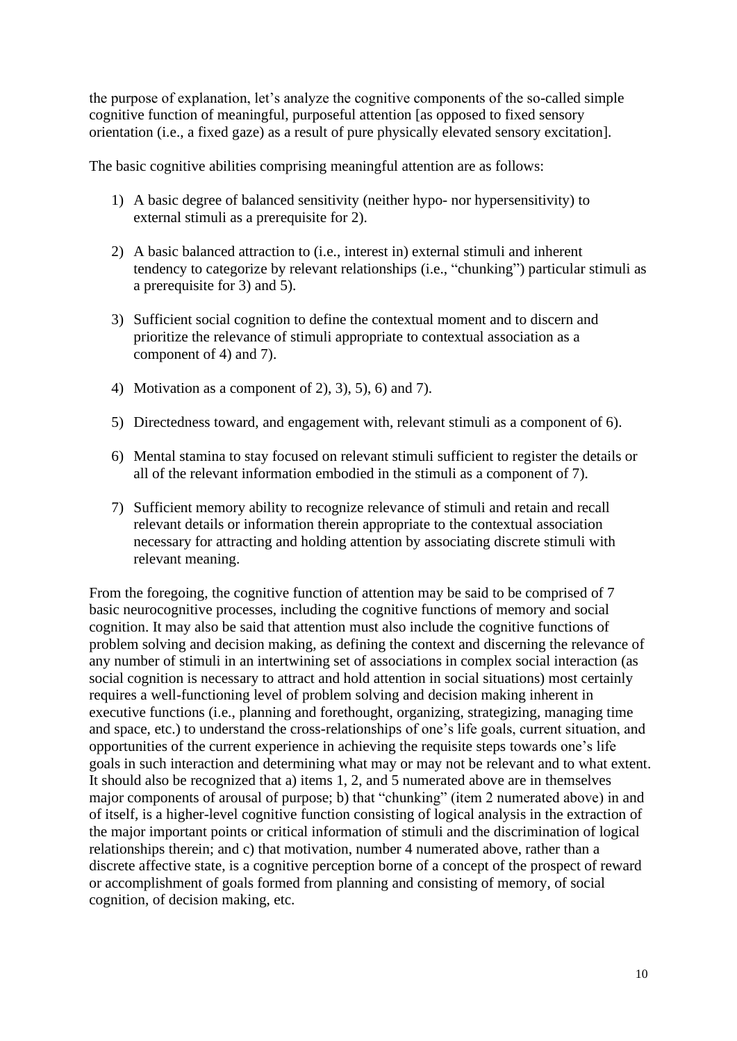the purpose of explanation, let's analyze the cognitive components of the so-called simple cognitive function of meaningful, purposeful attention [as opposed to fixed sensory orientation (i.e., a fixed gaze) as a result of pure physically elevated sensory excitation].

The basic cognitive abilities comprising meaningful attention are as follows:

- 1) A basic degree of balanced sensitivity (neither hypo- nor hypersensitivity) to external stimuli as a prerequisite for 2).
- 2) A basic balanced attraction to (i.e., interest in) external stimuli and inherent tendency to categorize by relevant relationships (i.e., "chunking") particular stimuli as a prerequisite for 3) and 5).
- 3) Sufficient social cognition to define the contextual moment and to discern and prioritize the relevance of stimuli appropriate to contextual association as a component of 4) and 7).
- 4) Motivation as a component of 2), 3), 5), 6) and 7).
- 5) Directedness toward, and engagement with, relevant stimuli as a component of 6).
- 6) Mental stamina to stay focused on relevant stimuli sufficient to register the details or all of the relevant information embodied in the stimuli as a component of 7).
- 7) Sufficient memory ability to recognize relevance of stimuli and retain and recall relevant details or information therein appropriate to the contextual association necessary for attracting and holding attention by associating discrete stimuli with relevant meaning.

From the foregoing, the cognitive function of attention may be said to be comprised of 7 basic neurocognitive processes, including the cognitive functions of memory and social cognition. It may also be said that attention must also include the cognitive functions of problem solving and decision making, as defining the context and discerning the relevance of any number of stimuli in an intertwining set of associations in complex social interaction (as social cognition is necessary to attract and hold attention in social situations) most certainly requires a well-functioning level of problem solving and decision making inherent in executive functions (i.e., planning and forethought, organizing, strategizing, managing time and space, etc.) to understand the cross-relationships of one's life goals, current situation, and opportunities of the current experience in achieving the requisite steps towards one's life goals in such interaction and determining what may or may not be relevant and to what extent. It should also be recognized that a) items 1, 2, and 5 numerated above are in themselves major components of arousal of purpose; b) that "chunking" (item 2 numerated above) in and of itself, is a higher-level cognitive function consisting of logical analysis in the extraction of the major important points or critical information of stimuli and the discrimination of logical relationships therein; and c) that motivation, number 4 numerated above, rather than a discrete affective state, is a cognitive perception borne of a concept of the prospect of reward or accomplishment of goals formed from planning and consisting of memory, of social cognition, of decision making, etc.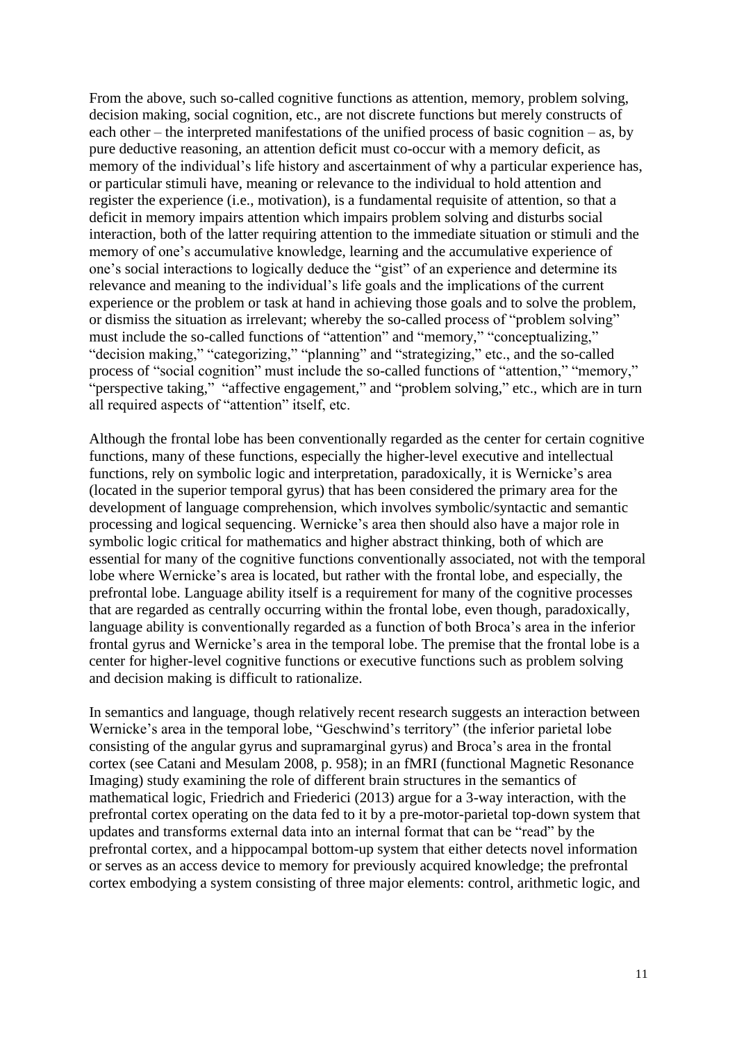From the above, such so-called cognitive functions as attention, memory, problem solving, decision making, social cognition, etc., are not discrete functions but merely constructs of each other – the interpreted manifestations of the unified process of basic cognition – as, by pure deductive reasoning, an attention deficit must co-occur with a memory deficit, as memory of the individual's life history and ascertainment of why a particular experience has, or particular stimuli have, meaning or relevance to the individual to hold attention and register the experience (i.e., motivation), is a fundamental requisite of attention, so that a deficit in memory impairs attention which impairs problem solving and disturbs social interaction, both of the latter requiring attention to the immediate situation or stimuli and the memory of one's accumulative knowledge, learning and the accumulative experience of one's social interactions to logically deduce the "gist" of an experience and determine its relevance and meaning to the individual's life goals and the implications of the current experience or the problem or task at hand in achieving those goals and to solve the problem, or dismiss the situation as irrelevant; whereby the so-called process of "problem solving" must include the so-called functions of "attention" and "memory," "conceptualizing," "decision making," "categorizing," "planning" and "strategizing," etc., and the so-called process of "social cognition" must include the so-called functions of "attention," "memory," "perspective taking," "affective engagement," and "problem solving," etc., which are in turn all required aspects of "attention" itself, etc.

Although the frontal lobe has been conventionally regarded as the center for certain cognitive functions, many of these functions, especially the higher-level executive and intellectual functions, rely on symbolic logic and interpretation, paradoxically, it is Wernicke's area (located in the superior temporal gyrus) that has been considered the primary area for the development of language comprehension, which involves symbolic/syntactic and semantic processing and logical sequencing. Wernicke's area then should also have a major role in symbolic logic critical for mathematics and higher abstract thinking, both of which are essential for many of the cognitive functions conventionally associated, not with the temporal lobe where Wernicke's area is located, but rather with the frontal lobe, and especially, the prefrontal lobe. Language ability itself is a requirement for many of the cognitive processes that are regarded as centrally occurring within the frontal lobe, even though, paradoxically, language ability is conventionally regarded as a function of both Broca's area in the inferior frontal gyrus and Wernicke's area in the temporal lobe. The premise that the frontal lobe is a center for higher-level cognitive functions or executive functions such as problem solving and decision making is difficult to rationalize.

In semantics and language, though relatively recent research suggests an interaction between Wernicke's area in the temporal lobe, "Geschwind's territory" (the inferior parietal lobe consisting of the angular gyrus and supramarginal gyrus) and Broca's area in the frontal cortex (see Catani and Mesulam 2008, p. 958); in an fMRI (functional Magnetic Resonance Imaging) study examining the role of different brain structures in the semantics of mathematical logic, Friedrich and Friederici (2013) argue for a 3-way interaction, with the prefrontal cortex operating on the data fed to it by a pre-motor-parietal top-down system that updates and transforms external data into an internal format that can be "read" by the prefrontal cortex, and a hippocampal bottom-up system that either detects novel information or serves as an access device to memory for previously acquired knowledge; the prefrontal cortex embodying a system consisting of three major elements: control, arithmetic logic, and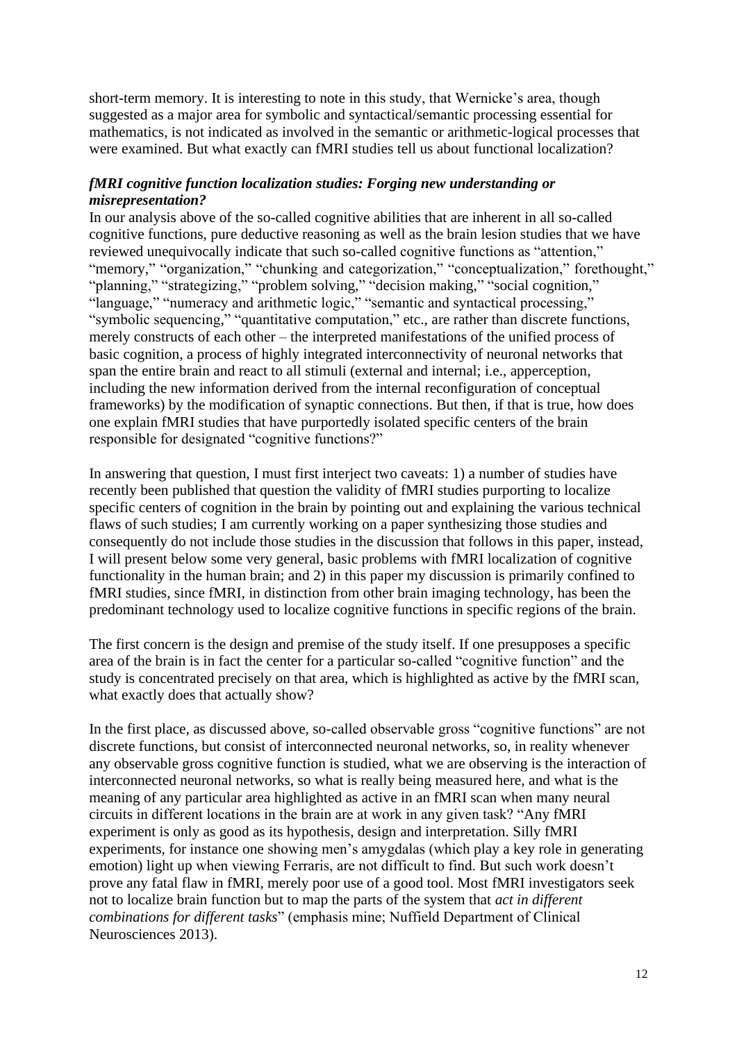short-term memory. It is interesting to note in this study, that Wernicke's area, though suggested as a major area for symbolic and syntactical/semantic processing essential for mathematics, is not indicated as involved in the semantic or arithmetic-logical processes that were examined. But what exactly can fMRI studies tell us about functional localization?

## *fMRI cognitive function localization studies: Forging new understanding or misrepresentation?*

In our analysis above of the so-called cognitive abilities that are inherent in all so-called cognitive functions, pure deductive reasoning as well as the brain lesion studies that we have reviewed unequivocally indicate that such so-called cognitive functions as "attention," "memory," "organization," "chunking and categorization," "conceptualization," forethought," "planning," "strategizing," "problem solving," "decision making," "social cognition," "language," "numeracy and arithmetic logic," "semantic and syntactical processing," "symbolic sequencing," "quantitative computation," etc., are rather than discrete functions, merely constructs of each other – the interpreted manifestations of the unified process of basic cognition, a process of highly integrated interconnectivity of neuronal networks that span the entire brain and react to all stimuli (external and internal; i.e., apperception, including the new information derived from the internal reconfiguration of conceptual frameworks) by the modification of synaptic connections. But then, if that is true, how does one explain fMRI studies that have purportedly isolated specific centers of the brain responsible for designated "cognitive functions?"

In answering that question, I must first interject two caveats: 1) a number of studies have recently been published that question the validity of fMRI studies purporting to localize specific centers of cognition in the brain by pointing out and explaining the various technical flaws of such studies; I am currently working on a paper synthesizing those studies and consequently do not include those studies in the discussion that follows in this paper, instead, I will present below some very general, basic problems with fMRI localization of cognitive functionality in the human brain; and 2) in this paper my discussion is primarily confined to fMRI studies, since fMRI, in distinction from other brain imaging technology, has been the predominant technology used to localize cognitive functions in specific regions of the brain.

The first concern is the design and premise of the study itself. If one presupposes a specific area of the brain is in fact the center for a particular so-called "cognitive function" and the study is concentrated precisely on that area, which is highlighted as active by the fMRI scan, what exactly does that actually show?

In the first place, as discussed above, so-called observable gross "cognitive functions" are not discrete functions, but consist of interconnected neuronal networks, so, in reality whenever any observable gross cognitive function is studied, what we are observing is the interaction of interconnected neuronal networks, so what is really being measured here, and what is the meaning of any particular area highlighted as active in an fMRI scan when many neural circuits in different locations in the brain are at work in any given task? "Any fMRI experiment is only as good as its hypothesis, design and interpretation. Silly fMRI experiments, for instance one showing men's amygdalas (which play a key role in generating emotion) light up when viewing Ferraris, are not difficult to find. But such work doesn't prove any fatal flaw in fMRI, merely poor use of a good tool. Most fMRI investigators seek not to localize brain function but to map the parts of the system that *act in different combinations for different tasks*" (emphasis mine; Nuffield Department of Clinical Neurosciences 2013).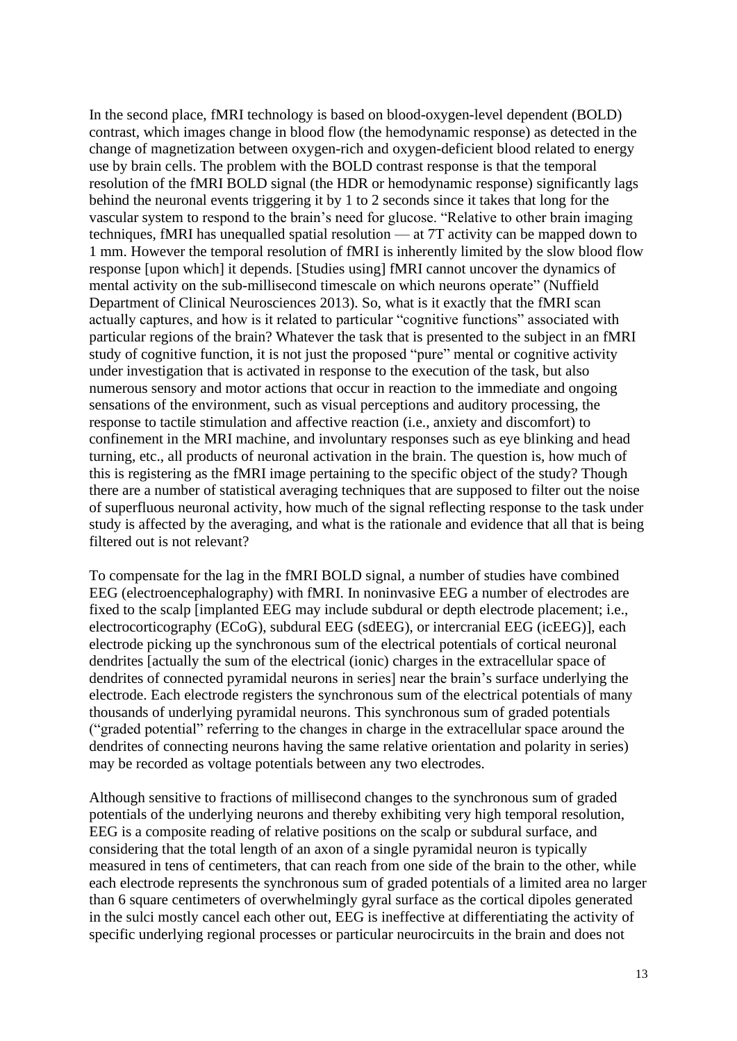In the second place, fMRI technology is based on blood-oxygen-level dependent (BOLD) contrast, which images change in blood flow (the hemodynamic response) as detected in the change of magnetization between oxygen-rich and oxygen-deficient blood related to energy use by brain cells. The problem with the BOLD contrast response is that the temporal resolution of the fMRI BOLD signal (the HDR or hemodynamic response) significantly lags behind the neuronal events triggering it by 1 to 2 seconds since it takes that long for the vascular system to respond to the brain's need for glucose. "Relative to other brain imaging techniques, fMRI has unequalled spatial resolution –– at 7T activity can be mapped down to 1 mm. However the temporal resolution of fMRI is inherently limited by the slow blood flow response [upon which] it depends. [Studies using] fMRI cannot uncover the dynamics of mental activity on the sub-millisecond timescale on which neurons operate" (Nuffield Department of Clinical Neurosciences 2013). So, what is it exactly that the fMRI scan actually captures, and how is it related to particular "cognitive functions" associated with particular regions of the brain? Whatever the task that is presented to the subject in an fMRI study of cognitive function, it is not just the proposed "pure" mental or cognitive activity under investigation that is activated in response to the execution of the task, but also numerous sensory and motor actions that occur in reaction to the immediate and ongoing sensations of the environment, such as visual perceptions and auditory processing, the response to tactile stimulation and affective reaction (i.e., anxiety and discomfort) to confinement in the MRI machine, and involuntary responses such as eye blinking and head turning, etc., all products of neuronal activation in the brain. The question is, how much of this is registering as the fMRI image pertaining to the specific object of the study? Though there are a number of statistical averaging techniques that are supposed to filter out the noise of superfluous neuronal activity, how much of the signal reflecting response to the task under study is affected by the averaging, and what is the rationale and evidence that all that is being filtered out is not relevant?

To compensate for the lag in the fMRI BOLD signal, a number of studies have combined EEG (electroencephalography) with fMRI. In noninvasive EEG a number of electrodes are fixed to the scalp [implanted EEG may include subdural or depth electrode placement; i.e., electrocorticography (ECoG), subdural EEG (sdEEG), or intercranial EEG (icEEG)], each electrode picking up the synchronous sum of the electrical potentials of cortical neuronal dendrites [actually the sum of the electrical (ionic) charges in the extracellular space of dendrites of connected pyramidal neurons in series] near the brain's surface underlying the electrode. Each electrode registers the synchronous sum of the electrical potentials of many thousands of underlying pyramidal neurons. This synchronous sum of graded potentials ("graded potential" referring to the changes in charge in the extracellular space around the dendrites of connecting neurons having the same relative orientation and polarity in series) may be recorded as voltage potentials between any two electrodes.

Although sensitive to fractions of millisecond changes to the synchronous sum of graded potentials of the underlying neurons and thereby exhibiting very high temporal resolution, EEG is a composite reading of relative positions on the scalp or subdural surface, and considering that the total length of an axon of a single pyramidal neuron is typically measured in tens of centimeters, that can reach from one side of the brain to the other, while each electrode represents the synchronous sum of graded potentials of a limited area no larger than 6 square centimeters of overwhelmingly gyral surface as the cortical dipoles generated in the sulci mostly cancel each other out, EEG is ineffective at differentiating the activity of specific underlying regional processes or particular neurocircuits in the brain and does not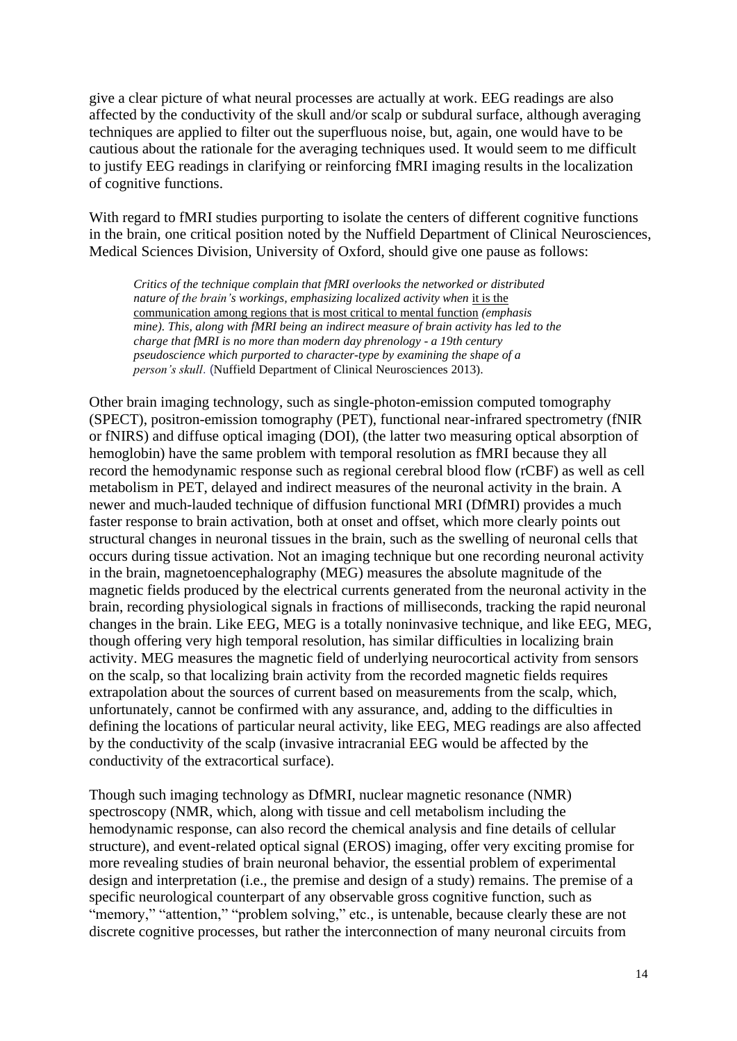give a clear picture of what neural processes are actually at work. EEG readings are also affected by the conductivity of the skull and/or scalp or subdural surface, although averaging techniques are applied to filter out the superfluous noise, but, again, one would have to be cautious about the rationale for the averaging techniques used. It would seem to me difficult to justify EEG readings in clarifying or reinforcing fMRI imaging results in the localization of cognitive functions.

With regard to fMRI studies purporting to isolate the centers of different cognitive functions in the brain, one critical position noted by the Nuffield Department of Clinical Neurosciences, Medical Sciences Division, University of Oxford, should give one pause as follows:

*Critics of the technique complain that fMRI overlooks the networked or distributed nature of the brain's workings, emphasizing localized activity when it is the* communication among regions that is most critical to mental function *(emphasis mine). This, along with fMRI being an indirect measure of brain activity has led to the charge that fMRI is no more than modern day phrenology - a 19th century pseudoscience which purported to character-type by examining the shape of a person's skull*. (Nuffield Department of Clinical Neurosciences 2013).

Other brain imaging technology, such as single-photon-emission computed tomography (SPECT), positron-emission tomography (PET), functional near-infrared spectrometry (fNIR or fNIRS) and diffuse optical imaging (DOI), (the latter two measuring optical absorption of hemoglobin) have the same problem with temporal resolution as fMRI because they all record the hemodynamic response such as regional cerebral blood flow (rCBF) as well as cell metabolism in PET, delayed and indirect measures of the neuronal activity in the brain. A newer and much-lauded technique of diffusion functional MRI (DfMRI) provides a much faster response to brain activation, both at onset and offset, which more clearly points out structural changes in neuronal tissues in the brain, such as the swelling of neuronal cells that occurs during tissue activation. Not an imaging technique but one recording neuronal activity in the brain, magnetoencephalography (MEG) measures the absolute magnitude of the magnetic fields produced by the electrical currents generated from the neuronal activity in the brain, recording physiological signals in fractions of milliseconds, tracking the rapid neuronal changes in the brain. Like EEG, MEG is a totally noninvasive technique, and like EEG, MEG, though offering very high temporal resolution, has similar difficulties in localizing brain activity. MEG measures the magnetic field of underlying neurocortical activity from sensors on the scalp, so that localizing brain activity from the recorded magnetic fields requires extrapolation about the sources of current based on measurements from the scalp, which, unfortunately, cannot be confirmed with any assurance, and, adding to the difficulties in defining the locations of particular neural activity, like EEG, MEG readings are also affected by the conductivity of the scalp (invasive intracranial EEG would be affected by the conductivity of the extracortical surface).

Though such imaging technology as DfMRI, nuclear magnetic resonance (NMR) spectroscopy (NMR, which, along with tissue and cell metabolism including the hemodynamic response, can also record the chemical analysis and fine details of cellular structure), and event-related optical signal (EROS) imaging, offer very exciting promise for more revealing studies of brain neuronal behavior, the essential problem of experimental design and interpretation (i.e., the premise and design of a study) remains. The premise of a specific neurological counterpart of any observable gross cognitive function, such as "memory," "attention," "problem solving," etc., is untenable, because clearly these are not discrete cognitive processes, but rather the interconnection of many neuronal circuits from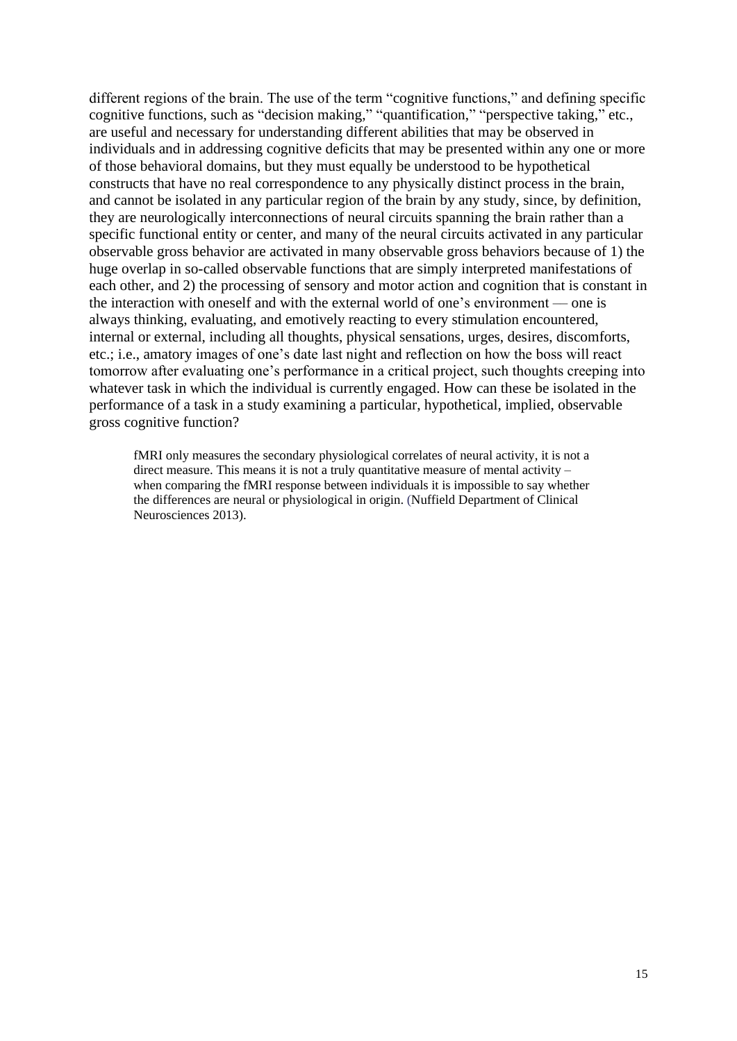different regions of the brain. The use of the term "cognitive functions," and defining specific cognitive functions, such as "decision making," "quantification," "perspective taking," etc., are useful and necessary for understanding different abilities that may be observed in individuals and in addressing cognitive deficits that may be presented within any one or more of those behavioral domains, but they must equally be understood to be hypothetical constructs that have no real correspondence to any physically distinct process in the brain, and cannot be isolated in any particular region of the brain by any study, since, by definition, they are neurologically interconnections of neural circuits spanning the brain rather than a specific functional entity or center, and many of the neural circuits activated in any particular observable gross behavior are activated in many observable gross behaviors because of 1) the huge overlap in so-called observable functions that are simply interpreted manifestations of each other, and 2) the processing of sensory and motor action and cognition that is constant in the interaction with oneself and with the external world of one's environment –– one is always thinking, evaluating, and emotively reacting to every stimulation encountered, internal or external, including all thoughts, physical sensations, urges, desires, discomforts, etc.; i.e., amatory images of one's date last night and reflection on how the boss will react tomorrow after evaluating one's performance in a critical project, such thoughts creeping into whatever task in which the individual is currently engaged. How can these be isolated in the performance of a task in a study examining a particular, hypothetical, implied, observable gross cognitive function?

fMRI only measures the secondary physiological correlates of neural activity, it is not a direct measure. This means it is not a truly quantitative measure of mental activity – when comparing the fMRI response between individuals it is impossible to say whether the differences are neural or physiological in origin. (Nuffield Department of Clinical Neurosciences 2013).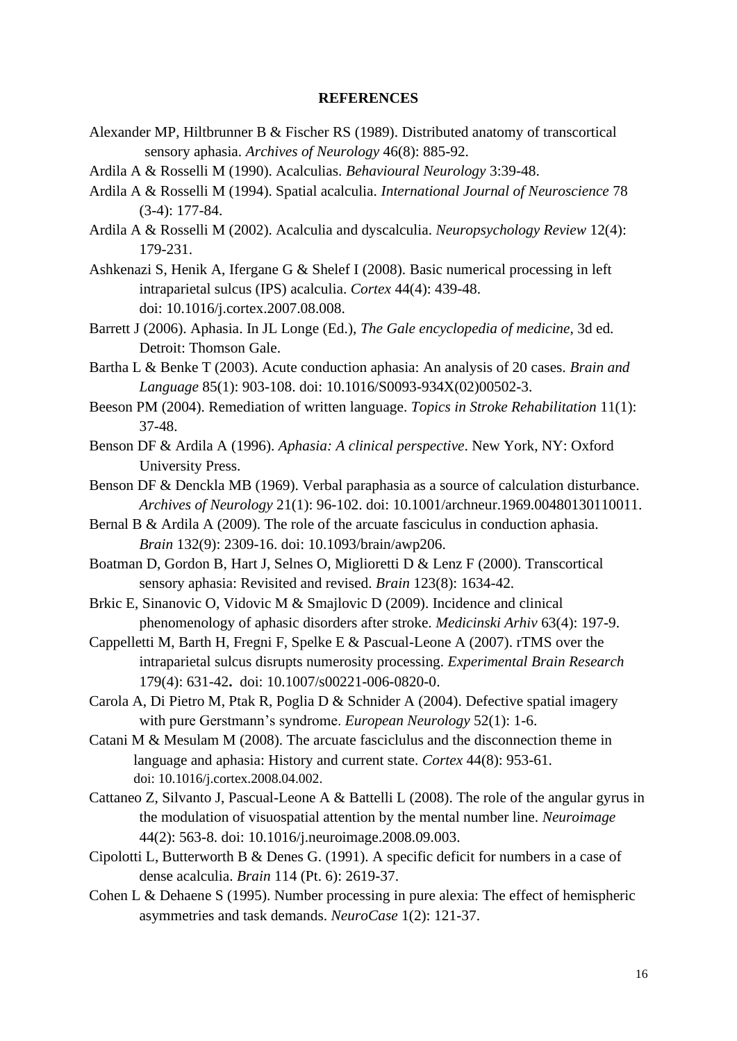## **REFERENCES**

- Alexander MP, Hiltbrunner B & Fischer RS (1989). Distributed anatomy of transcortical sensory aphasia. *Archives of Neurology* 46(8): 885-92.
- Ardila A & Rosselli M (1990). Acalculias. *Behavioural Neurology* 3:39-48.
- Ardila A & Rosselli M (1994). Spatial acalculia. *International Journal of Neuroscience* 78 (3-4): 177-84.
- Ardila A & Rosselli M (2002). Acalculia and dyscalculia. *Neuropsychology Review* 12(4): 179-231.
- Ashkenazi S, Henik A, Ifergane G & Shelef I (2008). Basic numerical processing in left intraparietal sulcus (IPS) acalculia. *Cortex* 44(4): 439-48. doi: [10.1016/j.cortex.2007.08.008.](http://dx.doi.org/10.1016/j.cortex.2007.08.008)
- Barrett J (2006). Aphasia. In JL Longe (Ed.), *The Gale encyclopedia of medicine*, 3d ed. Detroit: Thomson Gale.
- Bartha L & Benke T (2003). Acute conduction aphasia: An analysis of 20 cases. *Brain and Language* 85(1): 903-108. doi: 10.1016/S0093-934X(02)00502-3.
- Beeson PM (2004). Remediation of written language. *Topics in Stroke Rehabilitation* 11(1): 37-48.
- Benson DF & Ardila A (1996). *Aphasia: A clinical perspective*. New York, NY: Oxford University Press.
- Benson DF & Denckla MB (1969). Verbal paraphasia as a source of calculation disturbance. *Archives of Neurology* 21(1): 96-102. doi: 10.1001/archneur.1969.00480130110011.
- Bernal B & Ardila A (2009). The role of the arcuate fasciculus in conduction aphasia. *Brain* 132(9): 2309-16. doi: 10.1093/brain/awp206.
- Boatman D, Gordon B, Hart J, Selnes O, Miglioretti D & Lenz F (2000). Transcortical sensory aphasia: Revisited and revised. *Brain* 123(8): 1634-42.
- Brkic E, Sinanovic O, Vidovic M & Smajlovic D (2009). Incidence and clinical phenomenology of aphasic disorders after stroke. *Medicinski Arhiv* 63(4): 197-9.
- Cappelletti M, Barth H, Fregni F, Spelke E & Pascual-Leone A (2007). rTMS over the intraparietal sulcus disrupts numerosity processing. *Experimental Brain Research* 179(4): 631-42**.** doi: [10.1007/s00221-006-0820-0.](http://dx.doi.org/10.1007%2Fs00221-006-0820-0)
- Carola A, Di Pietro M, Ptak R, Poglia D & Schnider A (2004). Defective spatial imagery with pure Gerstmann's syndrome. *European Neurology* 52(1): 1-6.
- Catani M & Mesulam M (2008). The arcuate fasciclulus and the disconnection theme in language and aphasia: History and current state. *Cortex* 44(8): 953-61. doi: 10.1016/j.cortex.2008.04.002.
- Cattaneo Z, Silvanto J, Pascual-Leone A & Battelli L (2008). The role of the angular gyrus in the modulation of visuospatial attention by the mental number line. *Neuroimage* 44(2): 563-8. doi: 10.1016/j.neuroimage.2008.09.003.
- Cipolotti L, Butterworth B & Denes G. (1991). A specific deficit for numbers in a case of dense acalculia. *Brain* 114 (Pt. 6): 2619-37.
- Cohen L & Dehaene S (1995). Number processing in pure alexia: The effect of hemispheric asymmetries and task demands. *NeuroCase* 1(2): 121-37.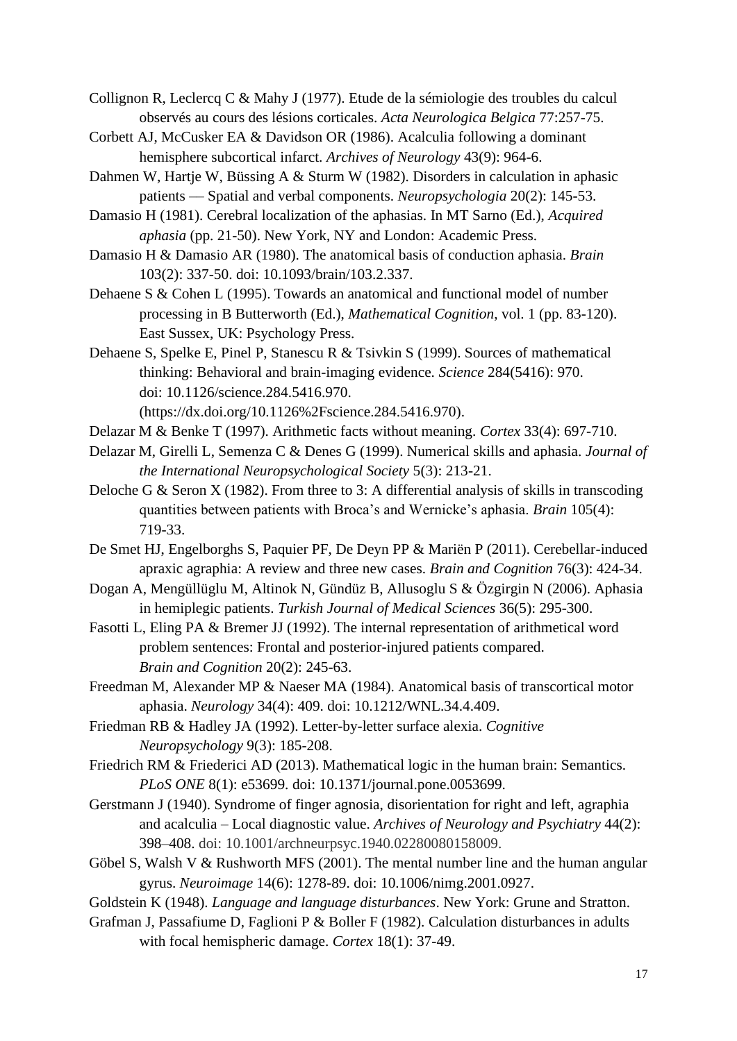Collignon R, Leclercq C & Mahy J (1977). Etude de la sémiologie des troubles du calcul observés au cours des lésions corticales. *Acta Neurologica Belgica* 77:257-75.

- Corbett AJ, McCusker EA & Davidson OR (1986). Acalculia following a dominant hemisphere subcortical infarct. *Archives of Neurology* 43(9): 964-6.
- Dahmen W, Hartje W, Büssing A & Sturm W (1982). Disorders in calculation in aphasic patients –– Spatial and verbal components. *Neuropsychologia* 20(2): 145-53.

Damasio H (1981). Cerebral localization of the aphasias. In MT Sarno (Ed.), *Acquired aphasia* (pp. 21-50). New York, NY and London: Academic Press.

Damasio H & Damasio AR (1980). The anatomical basis of conduction aphasia. *Brain*  103(2): 337-50. doi: 10.1093/brain/103.2.337.

Dehaene S & Cohen L (1995). Towards an anatomical and functional model of number processing in B Butterworth (Ed.), *Mathematical Cognition*, vol. 1 (pp. 83-120). East Sussex, UK: Psychology Press.

Dehaene S, Spelke E, Pinel P, Stanescu R & Tsivkin S (1999). Sources of mathematical thinking: Behavioral and brain-imaging evidence. *Science* 284(5416): 970. doi: 10.1126/science.284.5416.970.

[\(https://dx.doi.org/10.1126%2Fscience.284.5416.970\)](https://dx.doi.org/10.1126%2Fscience.284.5416.970).

Delazar M & Benke T (1997). Arithmetic facts without meaning. *Cortex* 33(4): 697-710.

Delazar M, Girelli L, Semenza C & Denes G (1999). Numerical skills and aphasia. *Journal of the International Neuropsychological Society* 5(3): 213-21.

Deloche G & Seron X (1982). From three to 3: A differential analysis of skills in transcoding quantities between patients with Broca's and Wernicke's aphasia. *Brain* 105(4): 719-33.

- De Smet HJ, Engelborghs S, Paquier PF, De Deyn PP & Mariën P (2011). Cerebellar-induced apraxic agraphia: A review and three new cases. *Brain and Cognition* 76(3): 424-34.
- Dogan A, Mengüllüglu M, Altinok N, Gündüz B, Allusoglu S & Özgirgin N (2006). Aphasia in hemiplegic patients. *Turkish Journal of Medical Sciences* 36(5): 295-300.
- Fasotti L, Eling PA & Bremer JJ (1992). The internal representation of arithmetical word problem sentences: Frontal and posterior-injured patients compared. *Brain and Cognition* 20(2): 245-63.

Freedman M, Alexander MP & Naeser MA (1984). Anatomical basis of transcortical motor aphasia. *Neurology* 34(4): 409. doi: 10.1212/WNL.34.4.409.

Friedman RB & Hadley JA (1992). Letter-by-letter surface alexia. *Cognitive Neuropsychology* 9(3): 185-208.

Friedrich RM & Friederici AD (2013). Mathematical logic in the human brain: Semantics. *PLoS ONE* 8(1): e53699. doi: 10.1371/journal.pone.0053699.

- Gerstmann J (1940). Syndrome of finger agnosia, disorientation for right and left, agraphia and acalculia – Local diagnostic value. *Archives of Neurology and Psychiatry* 44(2): 398–408. doi: 10.1001/archneurpsyc.1940.02280080158009.
- Göbel S, Walsh V & Rushworth MFS (2001). The mental number line and the human angular gyrus. *Neuroimage* 14(6): 1278-89. doi: 10.1006/nimg.2001.0927.

Goldstein K (1948). *Language and language disturbances*. New York: Grune and Stratton.

Grafman J, Passafiume D, Faglioni P & Boller F (1982). Calculation disturbances in adults with focal hemispheric damage. *Cortex* 18(1): 37-49.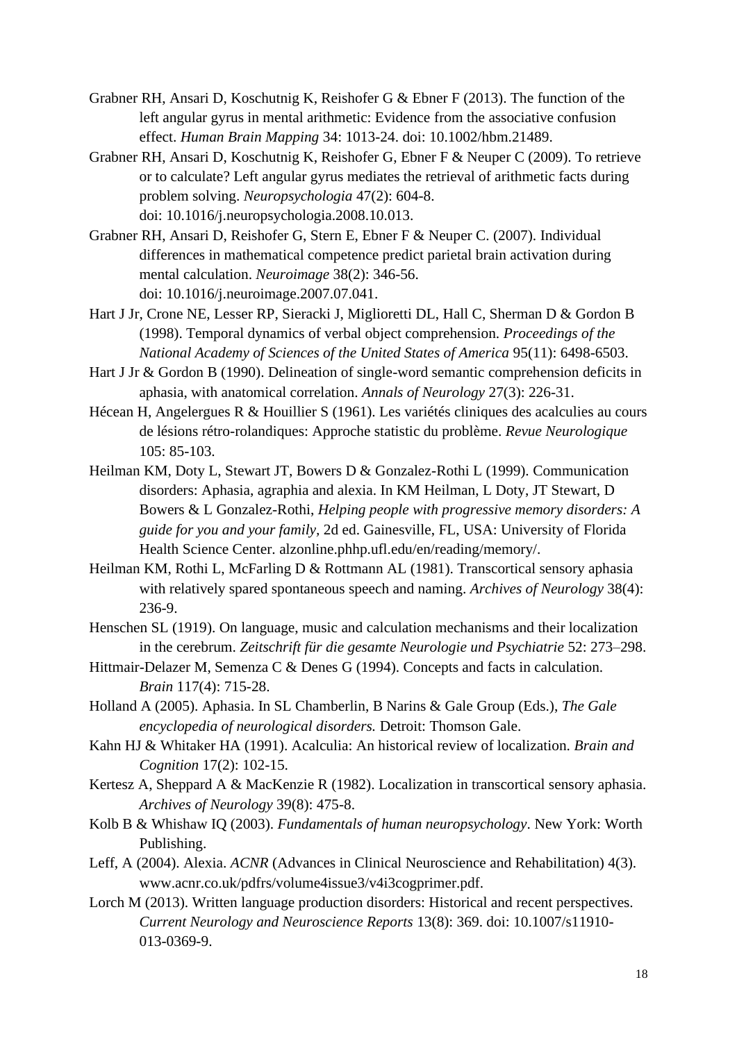- Grabner RH, Ansari D, Koschutnig K, Reishofer G & Ebner F (2013). The function of the left angular gyrus in mental arithmetic: Evidence from the associative confusion effect. *Human Brain Mapping* 34: 1013-24. doi: 10.1002/hbm.21489.
- Grabner RH, Ansari D, Koschutnig K, Reishofer G, Ebner F & Neuper C (2009). To retrieve or to calculate? Left angular gyrus mediates the retrieval of arithmetic facts during problem solving. *Neuropsychologia* 47(2): 604-8. doi: 10.1016/j.neuropsychologia.2008.10.013.
- Grabner RH, Ansari D, Reishofer G, Stern E, Ebner F & Neuper C. (2007). Individual differences in mathematical competence predict parietal brain activation during mental calculation. *Neuroimage* 38(2): 346-56. doi: [10.1016/j.neuroimage.2007.07.041.](http://dx.doi.org/10.1016/j.neuroimage.2007.07.041)
- Hart J Jr, Crone NE, Lesser RP, Sieracki J, Miglioretti DL, Hall C, Sherman D & Gordon B (1998). Temporal dynamics of verbal object comprehension. *Proceedings of the National Academy of Sciences of the United States of America* 95(11): 6498-6503.
- Hart J Jr & Gordon B (1990). Delineation of single-word semantic comprehension deficits in aphasia, with anatomical correlation. *Annals of Neurology* 27(3): 226-31.
- Hécean H, Angelergues R & Houillier S (1961). Les variétés cliniques des acalculies au cours de lésions rétro-rolandiques: Approche statistic du problème. *Revue Neurologique*  105: 85-103.
- Heilman KM, Doty L, Stewart JT, Bowers D & Gonzalez-Rothi L (1999). Communication disorders: Aphasia, agraphia and alexia. In KM Heilman, L Doty, JT Stewart, D Bowers & L Gonzalez-Rothi, *Helping people with progressive memory disorders: A guide for you and your family,* 2d ed. Gainesville, FL, USA: University of Florida Health Science Center. alzonline.phhp.ufl.edu/en/reading/memory/.
- Heilman KM, Rothi L, McFarling D & Rottmann AL (1981). Transcortical sensory aphasia with relatively spared spontaneous speech and naming. *Archives of Neurology* 38(4): 236-9.
- Henschen SL (1919). On language, music and calculation mechanisms and their localization in the cerebrum. *Zeitschrift für die gesamte Neurologie und Psychiatrie* 52: 273–298.
- Hittmair-Delazer M, Semenza C & Denes G (1994). Concepts and facts in calculation. *Brain* 117(4): 715-28.
- Holland A (2005). Aphasia. In SL Chamberlin, B Narins & Gale Group (Eds.), *The Gale encyclopedia of neurological disorders.* Detroit: Thomson Gale.
- Kahn HJ & Whitaker HA (1991). Acalculia: An historical review of localization. *Brain and Cognition* 17(2): 102-15.
- Kertesz A, Sheppard A & MacKenzie R (1982). Localization in transcortical sensory aphasia. *Archives of Neurology* 39(8): 475-8.
- Kolb B & Whishaw IQ (2003). *Fundamentals of human neuropsychology*. New York: Worth Publishing.
- Leff, A (2004). Alexia. *ACNR* (Advances in Clinical Neuroscience and Rehabilitation) 4(3). www.acnr.co.uk/pdfrs/volume4issue3/v4i3cogprimer.pdf.
- Lorch M (2013). Written language production disorders: Historical and recent perspectives. *Current Neurology and Neuroscience Reports* 13(8): 369. doi: 10.1007/s11910- 013-0369-9.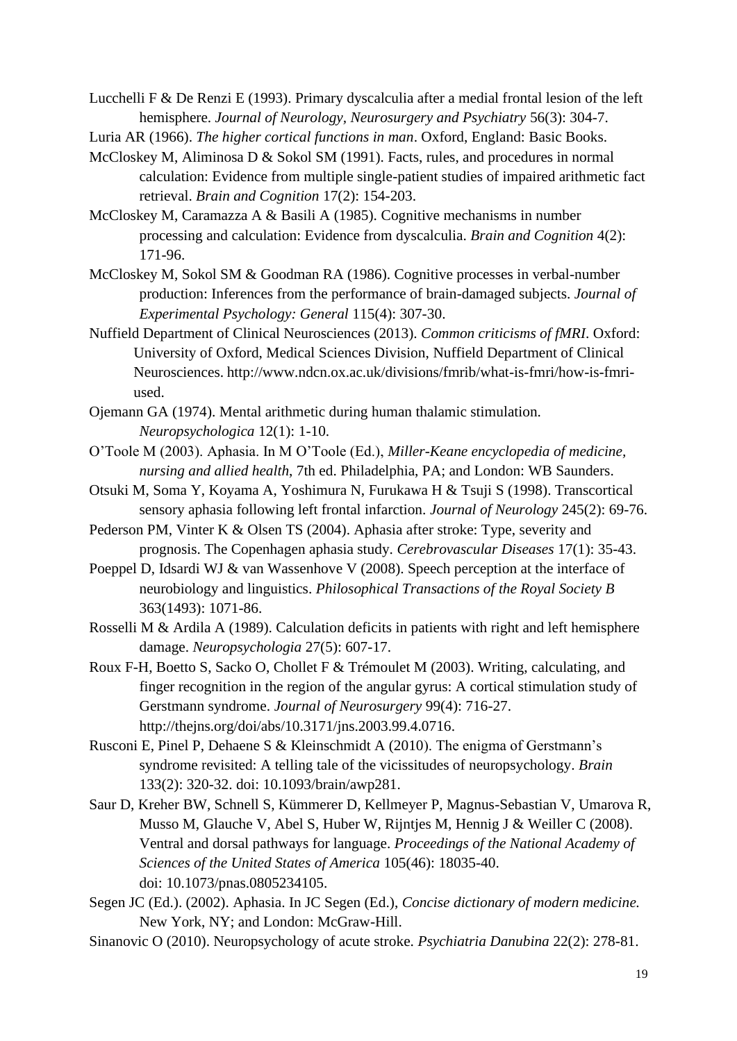Lucchelli F & De Renzi E (1993). Primary dyscalculia after a medial frontal lesion of the left hemisphere. *Journal of Neurology, Neurosurgery and Psychiatry* 56(3): 304-7.

Luria AR (1966). *The higher cortical functions in man*. Oxford, England: Basic Books.

- McCloskey M, Aliminosa D & Sokol SM (1991). Facts, rules, and procedures in normal calculation: Evidence from multiple single-patient studies of impaired arithmetic fact retrieval. *Brain and Cognition* 17(2): 154-203.
- McCloskey M, Caramazza A & Basili A (1985). Cognitive mechanisms in number processing and calculation: Evidence from dyscalculia. *Brain and Cognition* 4(2): 171-96.
- McCloskey M, Sokol SM & Goodman RA (1986). Cognitive processes in verbal-number production: Inferences from the performance of brain-damaged subjects. *Journal of Experimental Psychology: General* 115(4): 307-30.
- Nuffield Department of Clinical Neurosciences (2013). *Common criticisms of fMRI*. Oxford: University of Oxford, Medical Sciences Division, Nuffield Department of Clinical Neurosciences. http://www.ndcn.ox.ac.uk/divisions/fmrib/what-is-fmri/how-is-fmriused.
- Ojemann GA (1974). Mental arithmetic during human thalamic stimulation. *Neuropsychologica* 12(1): 1-10.
- O'Toole M (2003). Aphasia. In M O'Toole (Ed.), *Miller-Keane encyclopedia of medicine, nursing and allied health*, 7th ed. Philadelphia, PA; and London: WB Saunders.
- Otsuki M, Soma Y, Koyama A, Yoshimura N, Furukawa H & Tsuji S (1998). Transcortical sensory aphasia following left frontal infarction. *Journal of Neurology* 245(2): 69-76.
- Pederson PM, Vinter K & Olsen TS (2004). Aphasia after stroke: Type, severity and prognosis. The Copenhagen aphasia study. *Cerebrovascular Diseases* 17(1): 35-43.
- Poeppel D, Idsardi WJ & van Wassenhove V (2008). Speech perception at the interface of neurobiology and linguistics. *Philosophical Transactions of the Royal Society B*  363(1493): 1071-86.
- Rosselli M & Ardila A (1989). Calculation deficits in patients with right and left hemisphere damage. *Neuropsychologia* 27(5): 607-17.
- Roux F-H, Boetto S, Sacko O, Chollet F & Trémoulet M (2003). Writing, calculating, and finger recognition in the region of the angular gyrus: A cortical stimulation study of Gerstmann syndrome. *Journal of Neurosurgery* 99(4): 716-27. http://thejns.org/doi/abs/10.3171/jns.2003.99.4.0716.
- Rusconi E, Pinel P, Dehaene S & Kleinschmidt A (2010). The enigma of Gerstmann's syndrome revisited: A telling tale of the vicissitudes of neuropsychology. *Brain*  133(2): 320-32. doi: 10.1093/brain/awp281.
- Saur D, Kreher BW, Schnell S, Kümmerer D, Kellmeyer P, Magnus-Sebastian V, Umarova R, Musso M, Glauche V, Abel S, Huber W, Rijntjes M, Hennig J & Weiller C (2008). Ventral and dorsal pathways for language. *Proceedings of the National Academy of Sciences of the United States of America* 105(46): 18035-40. doi: 10.1073/pnas.0805234105.
- Segen JC (Ed.). (2002). Aphasia. In JC Segen (Ed.), *Concise dictionary of modern medicine.* New York, NY; and London: McGraw-Hill.
- Sinanovic O (2010). Neuropsychology of acute stroke. *Psychiatria Danubina* 22(2): 278-81.